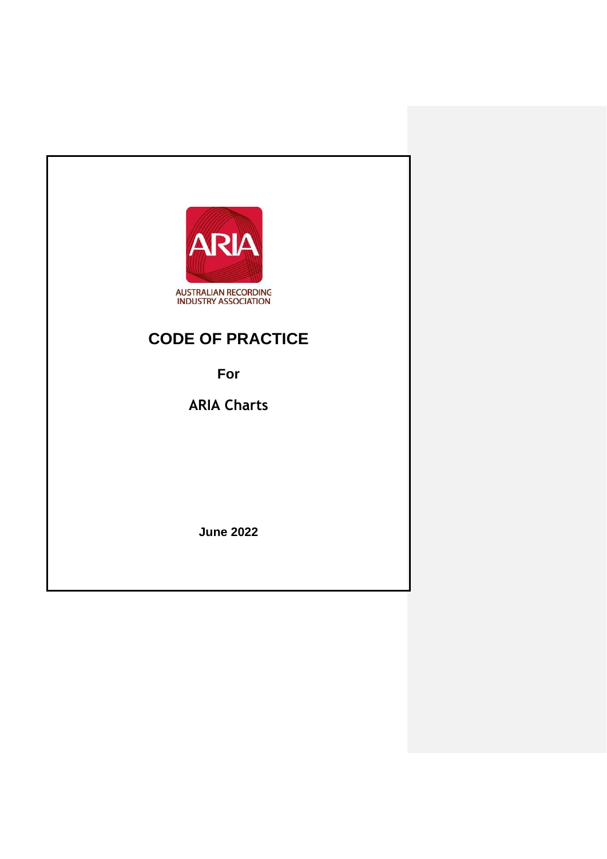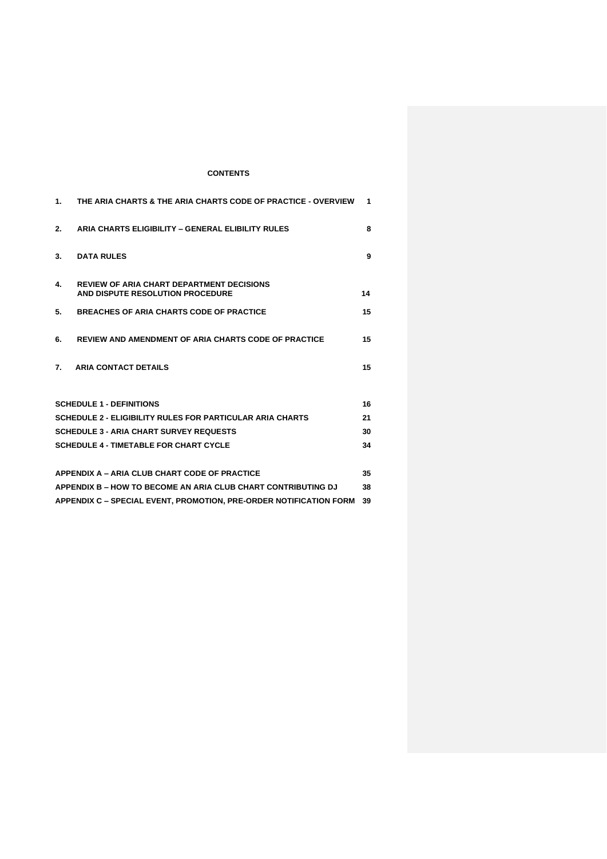# **CONTENTS**

| 1.                                                                 | THE ARIA CHARTS & THE ARIA CHARTS CODE OF PRACTICE - OVERVIEW                        | 1. |  |  |  |
|--------------------------------------------------------------------|--------------------------------------------------------------------------------------|----|--|--|--|
| 2.                                                                 | ARIA CHARTS ELIGIBILITY - GENERAL ELIBILITY RULES                                    | 8  |  |  |  |
| 3.                                                                 | <b>DATA RULES</b>                                                                    | 9  |  |  |  |
| 4.                                                                 | <b>REVIEW OF ARIA CHART DEPARTMENT DECISIONS</b><br>AND DISPUTE RESOLUTION PROCEDURE | 14 |  |  |  |
| 5.                                                                 | <b>BREACHES OF ARIA CHARTS CODE OF PRACTICE</b>                                      | 15 |  |  |  |
| 6.                                                                 | <b>REVIEW AND AMENDMENT OF ARIA CHARTS CODE OF PRACTICE</b>                          | 15 |  |  |  |
| 7.                                                                 | <b>ARIA CONTACT DETAILS</b>                                                          | 15 |  |  |  |
|                                                                    |                                                                                      |    |  |  |  |
|                                                                    | <b>SCHEDULE 1 - DEFINITIONS</b>                                                      | 16 |  |  |  |
|                                                                    | <b>SCHEDULE 2 - ELIGIBILITY RULES FOR PARTICULAR ARIA CHARTS</b>                     | 21 |  |  |  |
| <b>SCHEDULE 3 - ARIA CHART SURVEY REQUESTS</b>                     |                                                                                      |    |  |  |  |
|                                                                    | <b>SCHEDULE 4 - TIMETABLE FOR CHART CYCLE</b>                                        | 34 |  |  |  |
|                                                                    |                                                                                      |    |  |  |  |
|                                                                    | APPENDIX A - ARIA CLUB CHART CODE OF PRACTICE                                        | 35 |  |  |  |
| APPENDIX B - HOW TO BECOME AN ARIA CLUB CHART CONTRIBUTING DJ      |                                                                                      |    |  |  |  |
| APPENDIX C - SPECIAL EVENT, PROMOTION, PRE-ORDER NOTIFICATION FORM |                                                                                      |    |  |  |  |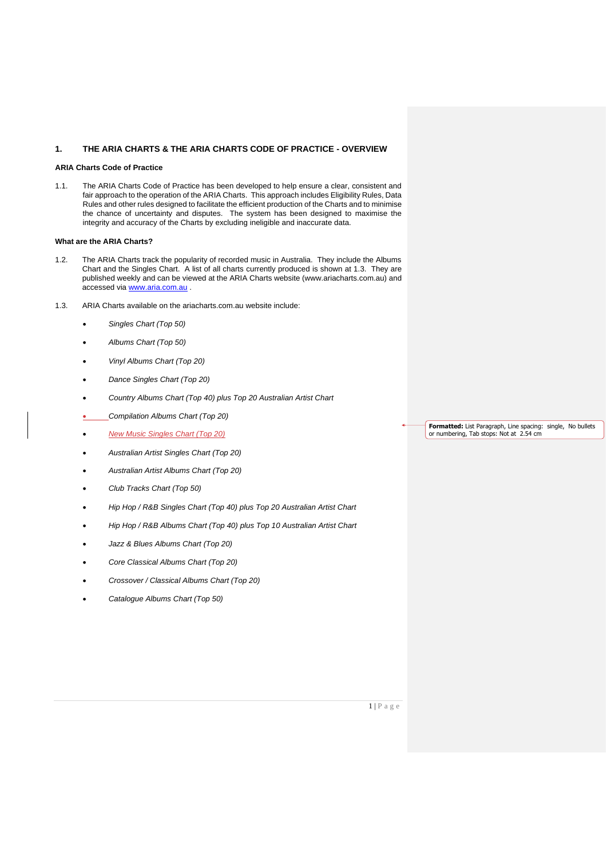#### **1. THE ARIA CHARTS & THE ARIA CHARTS CODE OF PRACTICE - OVERVIEW**

#### **ARIA Charts Code of Practice**

1.1. The ARIA Charts Code of Practice has been developed to help ensure a clear, consistent and fair approach to the operation of the ARIA Charts. This approach includes Eligibility Rules, Data Rules and other rules designed to facilitate the efficient production of the Charts and to minimise the chance of uncertainty and disputes. The system has been designed to maximise the integrity and accuracy of the Charts by excluding ineligible and inaccurate data.

#### **What are the ARIA Charts?**

- 1.2. The ARIA Charts track the popularity of recorded music in Australia. They include the Albums Chart and the Singles Chart. A list of all charts currently produced is shown at 1.3. They are published weekly and can be viewed at the ARIA Charts website (www.ariacharts.com.au) and accessed via [www.aria.com.au](http://www.aria.com.au/) .
- 1.3. ARIA Charts available on the ariacharts.com.au website include:
	- *Singles Chart (Top 50)*
	- *Albums Chart (Top 50)*
	- *Vinyl Albums Chart (Top 20)*
	- *Dance Singles Chart (Top 20)*
	- *Country Albums Chart (Top 40) plus Top 20 Australian Artist Chart*
	- *Compilation Albums Chart (Top 20)*
	- *New Music Singles Chart (Top 20)*
	- *Australian Artist Singles Chart (Top 20)*
	- *Australian Artist Albums Chart (Top 20)*
	- *Club Tracks Chart (Top 50)*
	- *Hip Hop / R&B Singles Chart (Top 40) plus Top 20 Australian Artist Chart*
	- *Hip Hop / R&B Albums Chart (Top 40) plus Top 10 Australian Artist Chart*
	- *Jazz & Blues Albums Chart (Top 20)*
	- *Core Classical Albums Chart (Top 20)*
	- *Crossover / Classical Albums Chart (Top 20)*
	- *Catalogue Albums Chart (Top 50)*

**Formatted:** List Paragraph, Line spacing: single, No bullets<br>or numbering, Tab stops: Not at 2.54 cm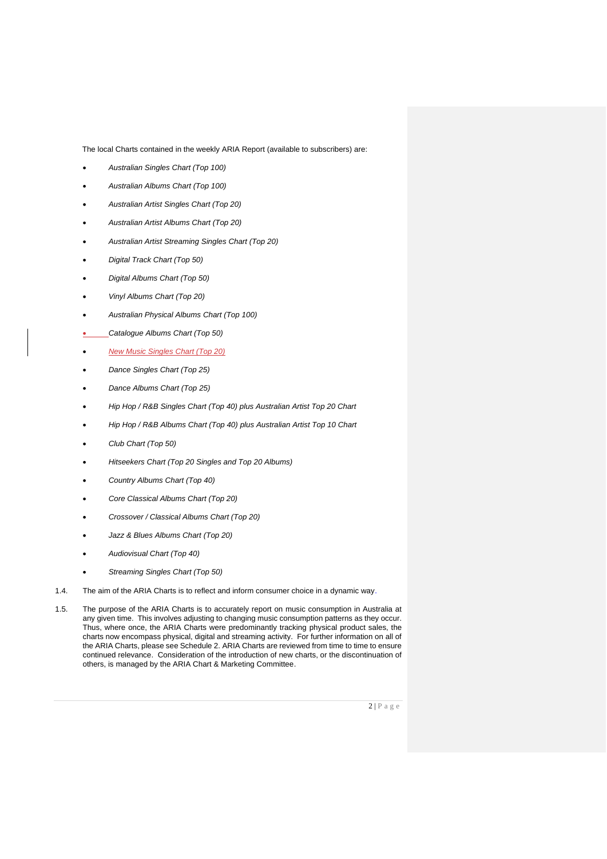The local Charts contained in the weekly ARIA Report (available to subscribers) are:

- *Australian Singles Chart (Top 100)*
- *Australian Albums Chart (Top 100)*
- *Australian Artist Singles Chart (Top 20)*
- *Australian Artist Albums Chart (Top 20)*
- *Australian Artist Streaming Singles Chart (Top 20)*
- *Digital Track Chart (Top 50)*
- *Digital Albums Chart (Top 50)*
- *Vinyl Albums Chart (Top 20)*
- *Australian Physical Albums Chart (Top 100)*
- *Catalogue Albums Chart (Top 50)*
- *New Music Singles Chart (Top 20)*
- *Dance Singles Chart (Top 25)*
- *Dance Albums Chart (Top 25)*
- *Hip Hop / R&B Singles Chart (Top 40) plus Australian Artist Top 20 Chart*
- *Hip Hop / R&B Albums Chart (Top 40) plus Australian Artist Top 10 Chart*
- *Club Chart (Top 50)*
- *Hitseekers Chart (Top 20 Singles and Top 20 Albums)*
- *Country Albums Chart (Top 40)*
- *Core Classical Albums Chart (Top 20)*
- *Crossover / Classical Albums Chart (Top 20)*
- *Jazz & Blues Albums Chart (Top 20)*
- *Audiovisual Chart (Top 40)*
- *Streaming Singles Chart (Top 50)*
- 1.4. The aim of the ARIA Charts is to reflect and inform consumer choice in a dynamic way.
- 1.5. The purpose of the ARIA Charts is to accurately report on music consumption in Australia at any given time. This involves adjusting to changing music consumption patterns as they occur. Thus, where once, the ARIA Charts were predominantly tracking physical product sales, the charts now encompass physical, digital and streaming activity. For further information on all of the ARIA Charts, please see Schedule 2. ARIA Charts are reviewed from time to time to ensure continued relevance. Consideration of the introduction of new charts, or the discontinuation of others, is managed by the ARIA Chart & Marketing Committee.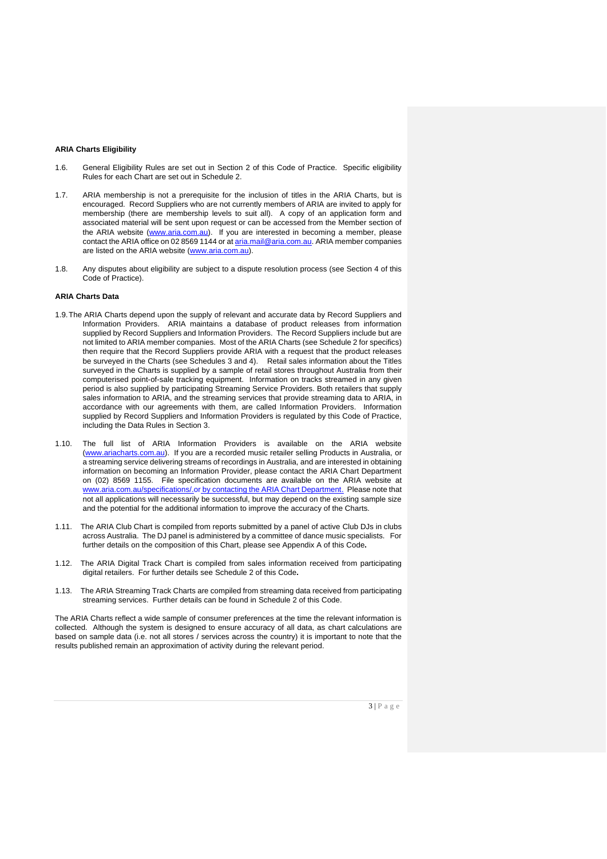#### **ARIA Charts Eligibility**

- 1.6. General Eligibility Rules are set out in Section 2 of this Code of Practice. Specific eligibility Rules for each Chart are set out in Schedule 2.
- 1.7. ARIA membership is not a prerequisite for the inclusion of titles in the ARIA Charts, but is encouraged. Record Suppliers who are not currently members of ARIA are invited to apply for membership (there are membership levels to suit all). A copy of an application form and associated material will be sent upon request or can be accessed from the Member section of the ARIA website [\(www.aria.com.au\)](http://www.aria.com.au/). If you are interested in becoming a member, please contact the ARIA office on 02 8569 1144 or at [aria.mail@aria.com.au.](mailto:aria.mail@aria.com.au) ARIA member companies are listed on the ARIA website [\(www.aria.com.au\)](http://www.aria.com.au/).
- 1.8. Any disputes about eligibility are subject to a dispute resolution process (see Section 4 of this Code of Practice).

#### **ARIA Charts Data**

- 1.9.The ARIA Charts depend upon the supply of relevant and accurate data by Record Suppliers and Information Providers. ARIA maintains a database of product releases from information supplied by Record Suppliers and Information Providers. The Record Suppliers include but are not limited to ARIA member companies. Most of the ARIA Charts (see Schedule 2 for specifics) then require that the Record Suppliers provide ARIA with a request that the product releases be surveyed in the Charts (see Schedules 3 and 4). Retail sales information about the Titles surveyed in the Charts is supplied by a sample of retail stores throughout Australia from their computerised point-of-sale tracking equipment. Information on tracks streamed in any given period is also supplied by participating Streaming Service Providers. Both retailers that supply sales information to ARIA, and the streaming services that provide streaming data to ARIA, in accordance with our agreements with them, are called Information Providers. Information supplied by Record Suppliers and Information Providers is regulated by this Code of Practice, including the Data Rules in Section 3.
- 1.10. The full list of ARIA Information Providers is available on the ARIA website [\(www.ariacharts.com.au\)](http://www.ariacharts.com.au/). If you are a recorded music retailer selling Products in Australia, or a streaming service delivering streams of recordings in Australia, and are interested in obtaining information on becoming an Information Provider, please contact the ARIA Chart Department on (02) 8569 1155. File specification documents are available on the ARIA website at [www.aria.com.au/specifications/.or](http://www.aria.com.au/specifications/.or) by contacting the ARIA Chart Department. Please note that not all applications will necessarily be successful, but may depend on the existing sample size and the potential for the additional information to improve the accuracy of the Charts.
- 1.11. The ARIA Club Chart is compiled from reports submitted by a panel of active Club DJs in clubs across Australia. The DJ panel is administered by a committee of dance music specialists. For further details on the composition of this Chart, please see Appendix A of this Code**.**
- 1.12. The ARIA Digital Track Chart is compiled from sales information received from participating digital retailers. For further details see Schedule 2 of this Code**.**
- 1.13. The ARIA Streaming Track Charts are compiled from streaming data received from participating streaming services. Further details can be found in Schedule 2 of this Code.

The ARIA Charts reflect a wide sample of consumer preferences at the time the relevant information is collected. Although the system is designed to ensure accuracy of all data, as chart calculations are based on sample data (i.e. not all stores / services across the country) it is important to note that the results published remain an approximation of activity during the relevant period.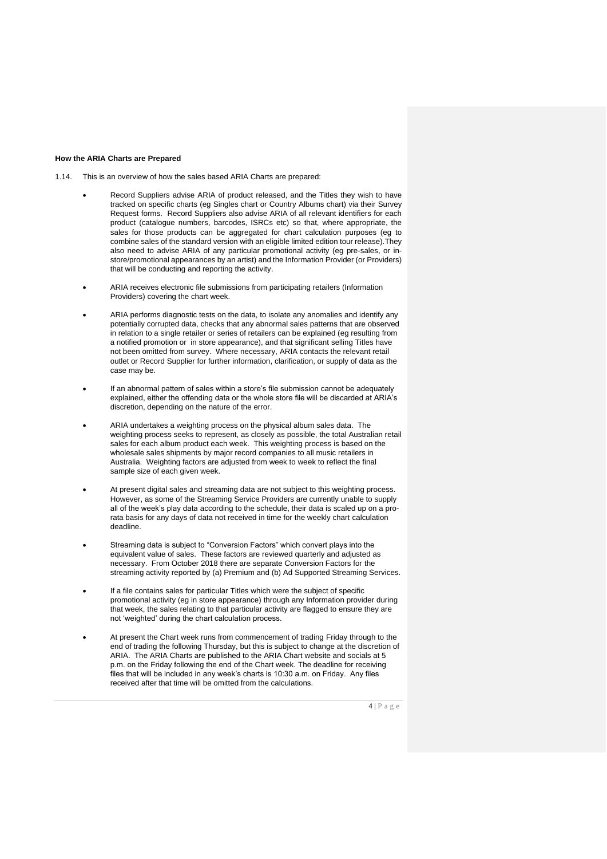#### **How the ARIA Charts are Prepared**

1.14. This is an overview of how the sales based ARIA Charts are prepared:

- Record Suppliers advise ARIA of product released, and the Titles they wish to have tracked on specific charts (eg Singles chart or Country Albums chart) via their Survey Request forms. Record Suppliers also advise ARIA of all relevant identifiers for each product (catalogue numbers, barcodes, ISRCs etc) so that, where appropriate, the sales for those products can be aggregated for chart calculation purposes (eg to combine sales of the standard version with an eligible limited edition tour release).They also need to advise ARIA of any particular promotional activity (eg pre-sales, or instore/promotional appearances by an artist) and the Information Provider (or Providers) that will be conducting and reporting the activity.
- ARIA receives electronic file submissions from participating retailers (Information Providers) covering the chart week.
- ARIA performs diagnostic tests on the data, to isolate any anomalies and identify any potentially corrupted data, checks that any abnormal sales patterns that are observed in relation to a single retailer or series of retailers can be explained (eg resulting from a notified promotion or in store appearance), and that significant selling Titles have not been omitted from survey. Where necessary, ARIA contacts the relevant retail outlet or Record Supplier for further information, clarification, or supply of data as the case may be.
- If an abnormal pattern of sales within a store's file submission cannot be adequately explained, either the offending data or the whole store file will be discarded at ARIA's discretion, depending on the nature of the error.
- ARIA undertakes a weighting process on the physical album sales data. The weighting process seeks to represent, as closely as possible, the total Australian retail sales for each album product each week. This weighting process is based on the wholesale sales shipments by major record companies to all music retailers in Australia. Weighting factors are adjusted from week to week to reflect the final sample size of each given week.
- At present digital sales and streaming data are not subject to this weighting process. However, as some of the Streaming Service Providers are currently unable to supply all of the week's play data according to the schedule, their data is scaled up on a prorata basis for any days of data not received in time for the weekly chart calculation deadline.
- Streaming data is subject to "Conversion Factors" which convert plays into the equivalent value of sales. These factors are reviewed quarterly and adjusted as necessary. From October 2018 there are separate Conversion Factors for the streaming activity reported by (a) Premium and (b) Ad Supported Streaming Services.
- If a file contains sales for particular Titles which were the subject of specific promotional activity (eg in store appearance) through any Information provider during that week, the sales relating to that particular activity are flagged to ensure they are not 'weighted' during the chart calculation process.
- At present the Chart week runs from commencement of trading Friday through to the end of trading the following Thursday, but this is subject to change at the discretion of ARIA. The ARIA Charts are published to the ARIA Chart website and socials at 5 p.m. on the Friday following the end of the Chart week. The deadline for receiving files that will be included in any week's charts is 10:30 a.m. on Friday. Any files received after that time will be omitted from the calculations.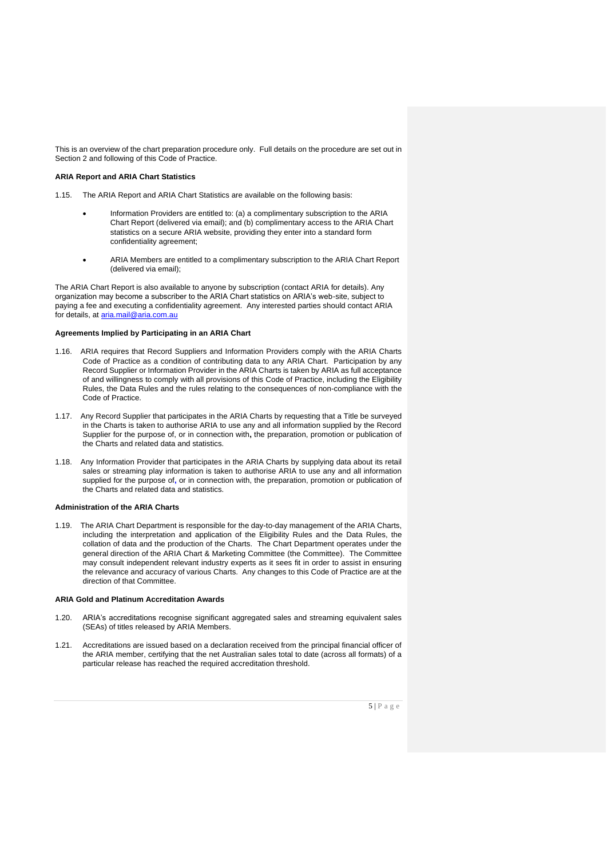This is an overview of the chart preparation procedure only. Full details on the procedure are set out in Section 2 and following of this Code of Practice.

#### **ARIA Report and ARIA Chart Statistics**

1.15. The ARIA Report and ARIA Chart Statistics are available on the following basis:

- Information Providers are entitled to: (a) a complimentary subscription to the ARIA Chart Report (delivered via email); and (b) complimentary access to the ARIA Chart statistics on a secure ARIA website, providing they enter into a standard form confidentiality agreement;
- ARIA Members are entitled to a complimentary subscription to the ARIA Chart Report (delivered via email);

The ARIA Chart Report is also available to anyone by subscription (contact ARIA for details). Any organization may become a subscriber to the ARIA Chart statistics on ARIA's web-site, subject to paying a fee and executing a confidentiality agreement. Any interested parties should contact ARIA for details, at [aria.mail@aria.com.au](mailto:aria.mail@aria.com.au)

#### **Agreements Implied by Participating in an ARIA Chart**

- 1.16. ARIA requires that Record Suppliers and Information Providers comply with the ARIA Charts Code of Practice as a condition of contributing data to any ARIA Chart. Participation by any Record Supplier or Information Provider in the ARIA Charts is taken by ARIA as full acceptance of and willingness to comply with all provisions of this Code of Practice, including the Eligibility Rules, the Data Rules and the rules relating to the consequences of non-compliance with the Code of Practice.
- 1.17. Any Record Supplier that participates in the ARIA Charts by requesting that a Title be surveyed in the Charts is taken to authorise ARIA to use any and all information supplied by the Record Supplier for the purpose of, or in connection with**,** the preparation, promotion or publication of the Charts and related data and statistics.
- 1.18. Any Information Provider that participates in the ARIA Charts by supplying data about its retail sales or streaming play information is taken to authorise ARIA to use any and all information supplied for the purpose of**,** or in connection with, the preparation, promotion or publication of the Charts and related data and statistics.

#### **Administration of the ARIA Charts**

1.19. The ARIA Chart Department is responsible for the day-to-day management of the ARIA Charts, including the interpretation and application of the Eligibility Rules and the Data Rules, the collation of data and the production of the Charts. The Chart Department operates under the general direction of the ARIA Chart & Marketing Committee (the Committee). The Committee may consult independent relevant industry experts as it sees fit in order to assist in ensuring the relevance and accuracy of various Charts. Any changes to this Code of Practice are at the direction of that Committee.

#### **ARIA Gold and Platinum Accreditation Awards**

- 1.20. ARIA's accreditations recognise significant aggregated sales and streaming equivalent sales (SEAs) of titles released by ARIA Members.
- 1.21. Accreditations are issued based on a declaration received from the principal financial officer of the ARIA member, certifying that the net Australian sales total to date (across all formats) of a particular release has reached the required accreditation threshold.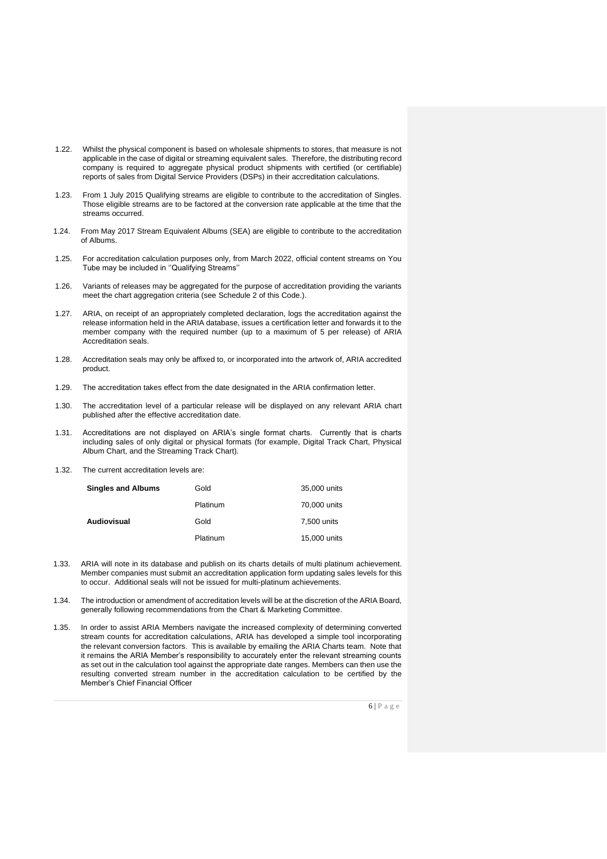- 1.22. Whilst the physical component is based on wholesale shipments to stores, that measure is not applicable in the case of digital or streaming equivalent sales. Therefore, the distributing record company is required to aggregate physical product shipments with certified (or certifiable) reports of sales from Digital Service Providers (DSPs) in their accreditation calculations.
- 1.23. From 1 July 2015 Qualifying streams are eligible to contribute to the accreditation of Singles. Those eligible streams are to be factored at the conversion rate applicable at the time that the streams occurred.
- 1.24. From May 2017 Stream Equivalent Albums (SEA) are eligible to contribute to the accreditation of Albums.
- 1.25. For accreditation calculation purposes only, from March 2022, official content streams on You Tube may be included in ''Qualifying Streams''
- 1.26. Variants of releases may be aggregated for the purpose of accreditation providing the variants meet the chart aggregation criteria (see Schedule 2 of this Code.).
- 1.27. ARIA, on receipt of an appropriately completed declaration, logs the accreditation against the release information held in the ARIA database, issues a certification letter and forwards it to the member company with the required number (up to a maximum of 5 per release) of ARIA Accreditation seals.
- 1.28. Accreditation seals may only be affixed to, or incorporated into the artwork of, ARIA accredited product.
- 1.29. The accreditation takes effect from the date designated in the ARIA confirmation letter.
- 1.30. The accreditation level of a particular release will be displayed on any relevant ARIA chart published after the effective accreditation date.
- 1.31. Accreditations are not displayed on ARIA's single format charts. Currently that is charts including sales of only digital or physical formats (for example, Digital Track Chart, Physical Album Chart, and the Streaming Track Chart).
- 1.32. The current accreditation levels are:

| <b>Singles and Albums</b> | Gold     | 35,000 units |
|---------------------------|----------|--------------|
|                           | Platinum | 70,000 units |
| Audiovisual               | Gold     | 7,500 units  |
|                           | Platinum | 15,000 units |

- 1.33. ARIA will note in its database and publish on its charts details of multi platinum achievement. Member companies must submit an accreditation application form updating sales levels for this to occur. Additional seals will not be issued for multi-platinum achievements.
- 1.34. The introduction or amendment of accreditation levels will be at the discretion of the ARIA Board, generally following recommendations from the Chart & Marketing Committee.
- 1.35. In order to assist ARIA Members navigate the increased complexity of determining converted stream counts for accreditation calculations, ARIA has developed a simple tool incorporating the relevant conversion factors. This is available by emailing the ARIA Charts team. Note that it remains the ARIA Member's responsibility to accurately enter the relevant streaming counts as set out in the calculation tool against the appropriate date ranges. Members can then use the resulting converted stream number in the accreditation calculation to be certified by the Member's Chief Financial Officer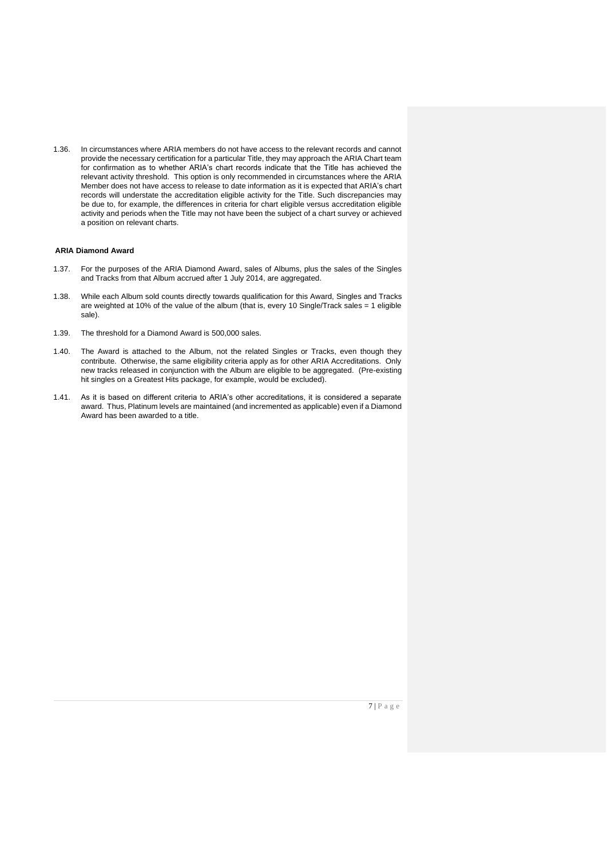1.36. In circumstances where ARIA members do not have access to the relevant records and cannot provide the necessary certification for a particular Title, they may approach the ARIA Chart team for confirmation as to whether ARIA's chart records indicate that the Title has achieved the relevant activity threshold. This option is only recommended in circumstances where the ARIA Member does not have access to release to date information as it is expected that ARIA's chart records will understate the accreditation eligible activity for the Title. Such discrepancies may be due to, for example, the differences in criteria for chart eligible versus accreditation eligible activity and periods when the Title may not have been the subject of a chart survey or achieved a position on relevant charts.

#### **ARIA Diamond Award**

- 1.37. For the purposes of the ARIA Diamond Award, sales of Albums, plus the sales of the Singles and Tracks from that Album accrued after 1 July 2014, are aggregated.
- 1.38. While each Album sold counts directly towards qualification for this Award, Singles and Tracks are weighted at 10% of the value of the album (that is, every 10 Single/Track sales = 1 eligible sale).
- 1.39. The threshold for a Diamond Award is 500,000 sales.
- 1.40. The Award is attached to the Album, not the related Singles or Tracks, even though they contribute. Otherwise, the same eligibility criteria apply as for other ARIA Accreditations. Only new tracks released in conjunction with the Album are eligible to be aggregated. (Pre-existing hit singles on a Greatest Hits package, for example, would be excluded).
- 1.41. As it is based on different criteria to ARIA's other accreditations, it is considered a separate award. Thus, Platinum levels are maintained (and incremented as applicable) even if a Diamond Award has been awarded to a title.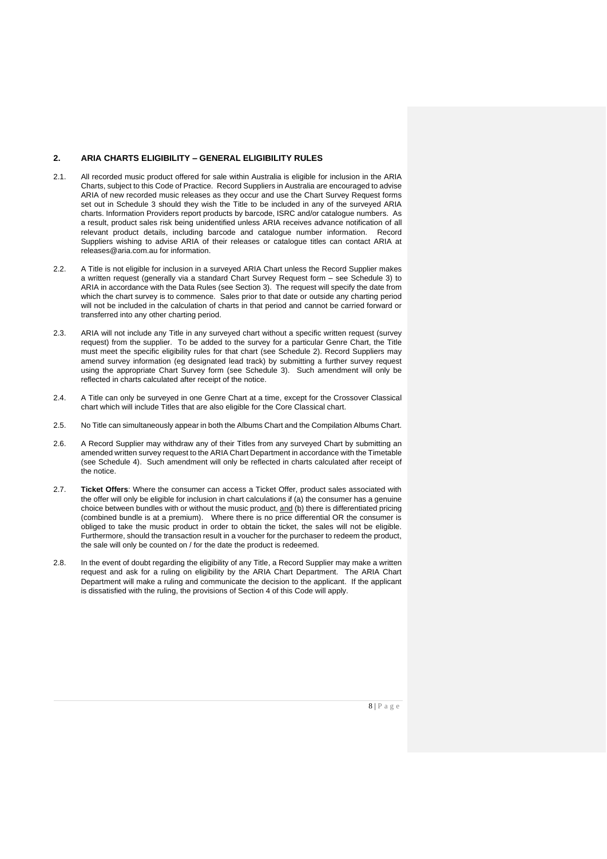#### **2. ARIA CHARTS ELIGIBILITY – GENERAL ELIGIBILITY RULES**

- 2.1. All recorded music product offered for sale within Australia is eligible for inclusion in the ARIA Charts, subject to this Code of Practice. Record Suppliers in Australia are encouraged to advise ARIA of new recorded music releases as they occur and use the Chart Survey Request forms set out in Schedule 3 should they wish the Title to be included in any of the surveyed ARIA charts. Information Providers report products by barcode, ISRC and/or catalogue numbers. As a result, product sales risk being unidentified unless ARIA receives advance notification of all relevant product details, including barcode and catalogue number information. Record Suppliers wishing to advise ARIA of their releases or catalogue titles can contact ARIA at releases@aria.com.au for information.
- 2.2. A Title is not eligible for inclusion in a surveyed ARIA Chart unless the Record Supplier makes a written request (generally via a standard Chart Survey Request form – see Schedule 3) to ARIA in accordance with the Data Rules (see Section 3). The request will specify the date from which the chart survey is to commence. Sales prior to that date or outside any charting period will not be included in the calculation of charts in that period and cannot be carried forward or transferred into any other charting period.
- 2.3. ARIA will not include any Title in any surveyed chart without a specific written request (survey request) from the supplier. To be added to the survey for a particular Genre Chart, the Title must meet the specific eligibility rules for that chart (see Schedule 2). Record Suppliers may amend survey information (eg designated lead track) by submitting a further survey request using the appropriate Chart Survey form (see Schedule 3). Such amendment will only be reflected in charts calculated after receipt of the notice.
- 2.4. A Title can only be surveyed in one Genre Chart at a time, except for the Crossover Classical chart which will include Titles that are also eligible for the Core Classical chart.
- 2.5. No Title can simultaneously appear in both the Albums Chart and the Compilation Albums Chart.
- 2.6. A Record Supplier may withdraw any of their Titles from any surveyed Chart by submitting an amended written survey request to the ARIA Chart Department in accordance with the Timetable (see Schedule 4). Such amendment will only be reflected in charts calculated after receipt of the notice.
- 2.7. **Ticket Offers**: Where the consumer can access a Ticket Offer, product sales associated with the offer will only be eligible for inclusion in chart calculations if (a) the consumer has a genuine choice between bundles with or without the music product, and (b) there is differentiated pricing (combined bundle is at a premium). Where there is no price differential OR the consumer is obliged to take the music product in order to obtain the ticket, the sales will not be eligible. Furthermore, should the transaction result in a voucher for the purchaser to redeem the product, the sale will only be counted on / for the date the product is redeemed.
- 2.8. In the event of doubt regarding the eligibility of any Title, a Record Supplier may make a written request and ask for a ruling on eligibility by the ARIA Chart Department. The ARIA Chart Department will make a ruling and communicate the decision to the applicant. If the applicant is dissatisfied with the ruling, the provisions of Section 4 of this Code will apply.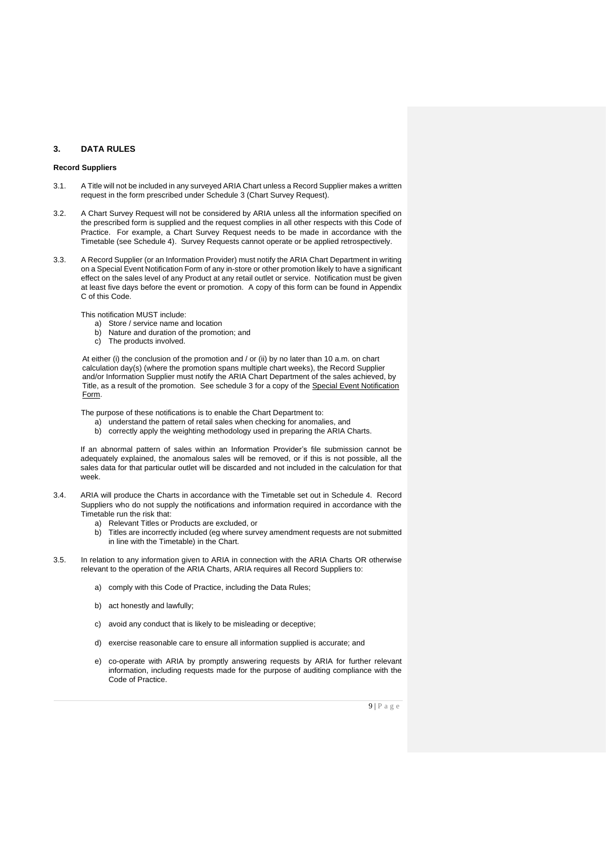# **3. DATA RULES**

#### **Record Suppliers**

- 3.1. A Title will not be included in any surveyed ARIA Chart unless a Record Supplier makes a written request in the form prescribed under Schedule 3 (Chart Survey Request).
- 3.2. A Chart Survey Request will not be considered by ARIA unless all the information specified on the prescribed form is supplied and the request complies in all other respects with this Code of Practice. For example, a Chart Survey Request needs to be made in accordance with the Timetable (see Schedule 4). Survey Requests cannot operate or be applied retrospectively.
- 3.3. A Record Supplier (or an Information Provider) must notify the ARIA Chart Department in writing on a Special Event Notification Form of any in-store or other promotion likely to have a significant effect on the sales level of any Product at any retail outlet or service. Notification must be given at least five days before the event or promotion. A copy of this form can be found in Appendix C of this Code.

This notification MUST include:

- a) Store / service name and location
- b) Nature and duration of the promotion; and
- c) The products involved.

At either (i) the conclusion of the promotion and / or (ii) by no later than 10 a.m. on chart calculation day(s) (where the promotion spans multiple chart weeks), the Record Supplier and/or Information Supplier must notify the ARIA Chart Department of the sales achieved, by Title, as a result of the promotion. See schedule 3 for a copy of the Special Event Notification Form.

The purpose of these notifications is to enable the Chart Department to:

- a) understand the pattern of retail sales when checking for anomalies, and
- b) correctly apply the weighting methodology used in preparing the ARIA Charts.

If an abnormal pattern of sales within an Information Provider's file submission cannot be adequately explained, the anomalous sales will be removed, or if this is not possible, all the sales data for that particular outlet will be discarded and not included in the calculation for that week.

- 3.4. ARIA will produce the Charts in accordance with the Timetable set out in Schedule 4. Record Suppliers who do not supply the notifications and information required in accordance with the Timetable run the risk that:
	- a) Relevant Titles or Products are excluded, or
	- b) Titles are incorrectly included (eg where survey amendment requests are not submitted in line with the Timetable) in the Chart.
- 3.5. In relation to any information given to ARIA in connection with the ARIA Charts OR otherwise relevant to the operation of the ARIA Charts, ARIA requires all Record Suppliers to:
	- a) comply with this Code of Practice, including the Data Rules;
	- b) act honestly and lawfully;
	- c) avoid any conduct that is likely to be misleading or deceptive;
	- d) exercise reasonable care to ensure all information supplied is accurate; and
	- e) co-operate with ARIA by promptly answering requests by ARIA for further relevant information, including requests made for the purpose of auditing compliance with the Code of Practice.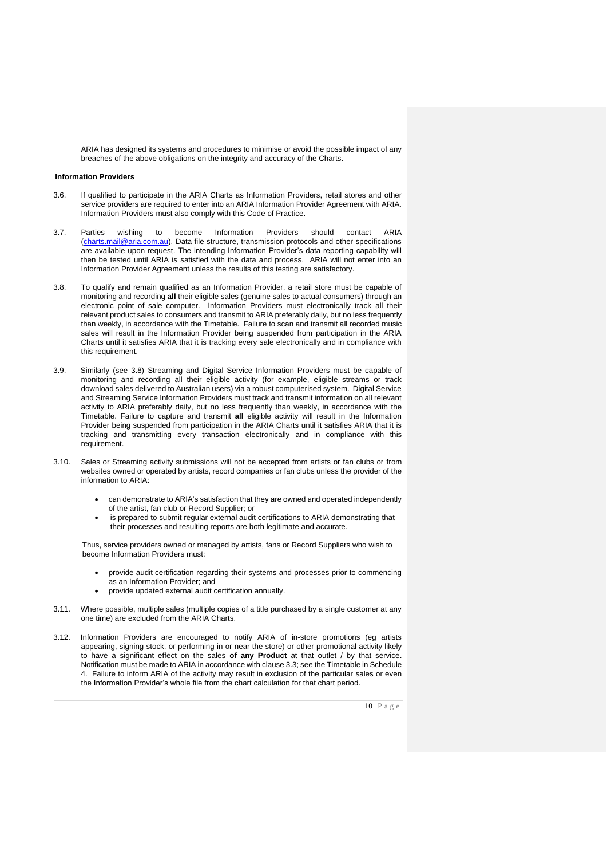ARIA has designed its systems and procedures to minimise or avoid the possible impact of any breaches of the above obligations on the integrity and accuracy of the Charts.

#### **Information Providers**

- 3.6. If qualified to participate in the ARIA Charts as Information Providers, retail stores and other service providers are required to enter into an ARIA Information Provider Agreement with ARIA. Information Providers must also comply with this Code of Practice.
- 3.7. Parties wishing to become Information Providers should contact [\(charts.mail@aria.com.au\)](mailto:charts.mail@aria.com.au). Data file structure, transmission protocols and other specifications are available upon request. The intending Information Provider's data reporting capability will then be tested until ARIA is satisfied with the data and process. ARIA will not enter into an Information Provider Agreement unless the results of this testing are satisfactory.
- 3.8. To qualify and remain qualified as an Information Provider, a retail store must be capable of monitoring and recording **all** their eligible sales (genuine sales to actual consumers) through an electronic point of sale computer. Information Providers must electronically track all their relevant product sales to consumers and transmit to ARIA preferably daily, but no less frequently than weekly, in accordance with the Timetable. Failure to scan and transmit all recorded music sales will result in the Information Provider being suspended from participation in the ARIA Charts until it satisfies ARIA that it is tracking every sale electronically and in compliance with this requirement.
- 3.9. Similarly (see 3.8) Streaming and Digital Service Information Providers must be capable of monitoring and recording all their eligible activity (for example, eligible streams or track download sales delivered to Australian users) via a robust computerised system. Digital Service and Streaming Service Information Providers must track and transmit information on all relevant activity to ARIA preferably daily, but no less frequently than weekly, in accordance with the Timetable. Failure to capture and transmit **all** eligible activity will result in the Information Provider being suspended from participation in the ARIA Charts until it satisfies ARIA that it is tracking and transmitting every transaction electronically and in compliance with this requirement.
- 3.10. Sales or Streaming activity submissions will not be accepted from artists or fan clubs or from websites owned or operated by artists, record companies or fan clubs unless the provider of the information to ARIA:
	- can demonstrate to ARIA's satisfaction that they are owned and operated independently of the artist, fan club or Record Supplier; or
	- is prepared to submit regular external audit certifications to ARIA demonstrating that their processes and resulting reports are both legitimate and accurate.

Thus, service providers owned or managed by artists, fans or Record Suppliers who wish to become Information Providers must:

- provide audit certification regarding their systems and processes prior to commencing as an Information Provider; and
- provide updated external audit certification annually.
- 3.11. Where possible, multiple sales (multiple copies of a title purchased by a single customer at any one time) are excluded from the ARIA Charts.
- 3.12. Information Providers are encouraged to notify ARIA of in-store promotions (eg artists appearing, signing stock, or performing in or near the store) or other promotional activity likely to have a significant effect on the sales **of any Product** at that outlet / by that service**.**  Notification must be made to ARIA in accordance with clause 3.3; see the Timetable in Schedule 4. Failure to inform ARIA of the activity may result in exclusion of the particular sales or even the Information Provider's whole file from the chart calculation for that chart period.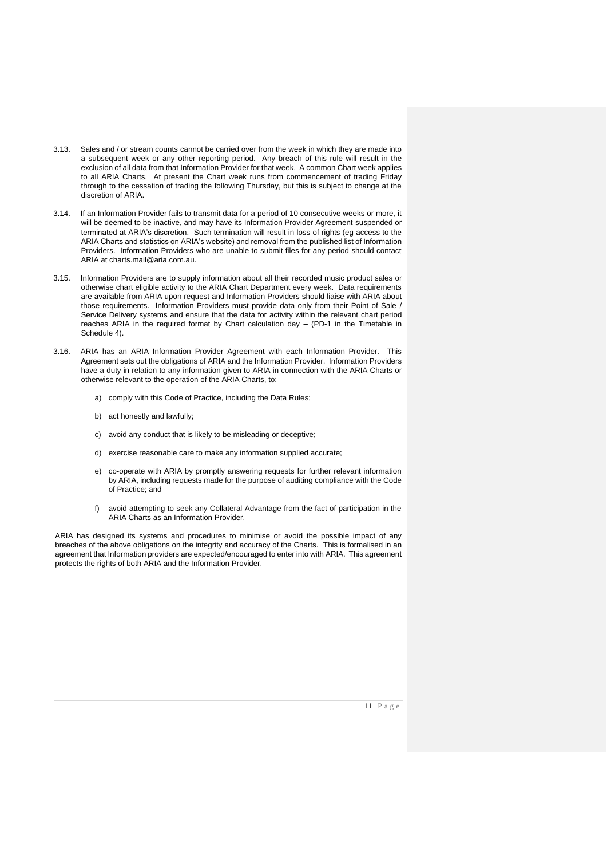- 3.13. Sales and / or stream counts cannot be carried over from the week in which they are made into a subsequent week or any other reporting period. Any breach of this rule will result in the exclusion of all data from that Information Provider for that week. A common Chart week applies to all ARIA Charts. At present the Chart week runs from commencement of trading Friday through to the cessation of trading the following Thursday, but this is subject to change at the discretion of ARIA.
- 3.14. If an Information Provider fails to transmit data for a period of 10 consecutive weeks or more, it will be deemed to be inactive, and may have its Information Provider Agreement suspended or terminated at ARIA's discretion. Such termination will result in loss of rights (eg access to the ARIA Charts and statistics on ARIA's website) and removal from the published list of Information Providers. Information Providers who are unable to submit files for any period should contact ARIA at charts.mail@aria.com.au.
- 3.15. Information Providers are to supply information about all their recorded music product sales or otherwise chart eligible activity to the ARIA Chart Department every week. Data requirements are available from ARIA upon request and Information Providers should liaise with ARIA about those requirements. Information Providers must provide data only from their Point of Sale / Service Delivery systems and ensure that the data for activity within the relevant chart period reaches ARIA in the required format by Chart calculation day – (PD-1 in the Timetable in Schedule 4).
- 3.16. ARIA has an ARIA Information Provider Agreement with each Information Provider. This Agreement sets out the obligations of ARIA and the Information Provider. Information Providers have a duty in relation to any information given to ARIA in connection with the ARIA Charts or otherwise relevant to the operation of the ARIA Charts, to:
	- a) comply with this Code of Practice, including the Data Rules;
	- b) act honestly and lawfully;
	- c) avoid any conduct that is likely to be misleading or deceptive;
	- d) exercise reasonable care to make any information supplied accurate;
	- e) co-operate with ARIA by promptly answering requests for further relevant information by ARIA, including requests made for the purpose of auditing compliance with the Code of Practice; and
	- f) avoid attempting to seek any Collateral Advantage from the fact of participation in the ARIA Charts as an Information Provider.

ARIA has designed its systems and procedures to minimise or avoid the possible impact of any breaches of the above obligations on the integrity and accuracy of the Charts. This is formalised in an agreement that Information providers are expected/encouraged to enter into with ARIA. This agreement protects the rights of both ARIA and the Information Provider.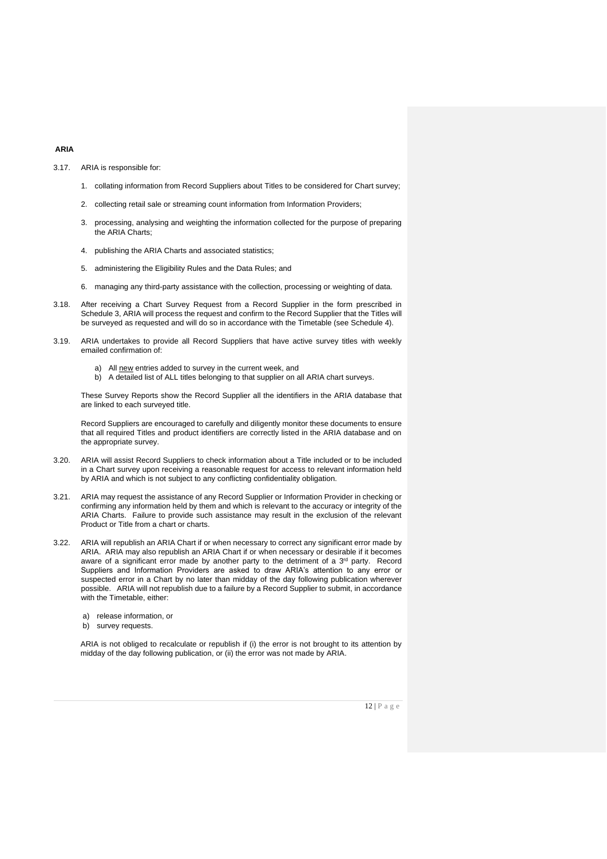# **ARIA**

3.17. ARIA is responsible for:

- 1. collating information from Record Suppliers about Titles to be considered for Chart survey;
- 2. collecting retail sale or streaming count information from Information Providers;
- 3. processing, analysing and weighting the information collected for the purpose of preparing the ARIA Charts;
- 4. publishing the ARIA Charts and associated statistics;
- 5. administering the Eligibility Rules and the Data Rules; and
- 6. managing any third-party assistance with the collection, processing or weighting of data.
- 3.18. After receiving a Chart Survey Request from a Record Supplier in the form prescribed in Schedule 3, ARIA will process the request and confirm to the Record Supplier that the Titles will be surveyed as requested and will do so in accordance with the Timetable (see Schedule 4).
- 3.19. ARIA undertakes to provide all Record Suppliers that have active survey titles with weekly emailed confirmation of:
	- a) All new entries added to survey in the current week, and
	- b) A detailed list of ALL titles belonging to that supplier on all ARIA chart surveys.

These Survey Reports show the Record Supplier all the identifiers in the ARIA database that are linked to each surveyed title.

Record Suppliers are encouraged to carefully and diligently monitor these documents to ensure that all required Titles and product identifiers are correctly listed in the ARIA database and on the appropriate survey.

- 3.20. ARIA will assist Record Suppliers to check information about a Title included or to be included in a Chart survey upon receiving a reasonable request for access to relevant information held by ARIA and which is not subject to any conflicting confidentiality obligation.
- 3.21. ARIA may request the assistance of any Record Supplier or Information Provider in checking or confirming any information held by them and which is relevant to the accuracy or integrity of the ARIA Charts. Failure to provide such assistance may result in the exclusion of the relevant Product or Title from a chart or charts.
- 3.22. ARIA will republish an ARIA Chart if or when necessary to correct any significant error made by ARIA. ARIA may also republish an ARIA Chart if or when necessary or desirable if it becomes aware of a significant error made by another party to the detriment of a 3<sup>rd</sup> party. Record Suppliers and Information Providers are asked to draw ARIA's attention to any error or suspected error in a Chart by no later than midday of the day following publication wherever possible. ARIA will not republish due to a failure by a Record Supplier to submit, in accordance with the Timetable, either:
	- a) release information, or
	- b) survey requests.

ARIA is not obliged to recalculate or republish if (i) the error is not brought to its attention by midday of the day following publication, or (ii) the error was not made by ARIA.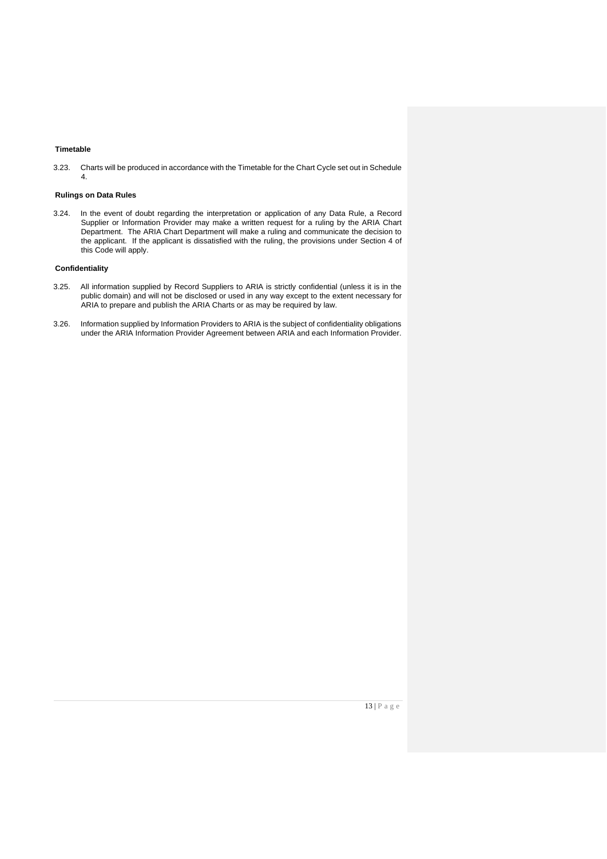# **Timetable**

3.23. Charts will be produced in accordance with the Timetable for the Chart Cycle set out in Schedule 4.

#### **Rulings on Data Rules**

3.24. In the event of doubt regarding the interpretation or application of any Data Rule, a Record Supplier or Information Provider may make a written request for a ruling by the ARIA Chart Department. The ARIA Chart Department will make a ruling and communicate the decision to the applicant. If the applicant is dissatisfied with the ruling, the provisions under Section 4 of this Code will apply.

#### **Confidentiality**

- 3.25. All information supplied by Record Suppliers to ARIA is strictly confidential (unless it is in the public domain) and will not be disclosed or used in any way except to the extent necessary for ARIA to prepare and publish the ARIA Charts or as may be required by law.
- 3.26. Information supplied by Information Providers to ARIA is the subject of confidentiality obligations under the ARIA Information Provider Agreement between ARIA and each Information Provider.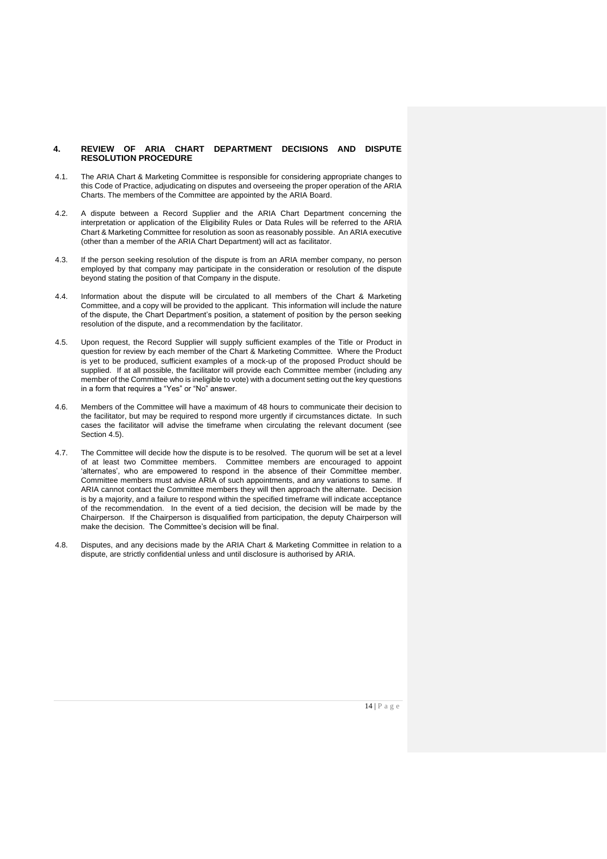#### **4. REVIEW OF ARIA CHART DEPARTMENT DECISIONS AND DISPUTE RESOLUTION PROCEDURE**

- 4.1. The ARIA Chart & Marketing Committee is responsible for considering appropriate changes to this Code of Practice, adjudicating on disputes and overseeing the proper operation of the ARIA Charts. The members of the Committee are appointed by the ARIA Board.
- 4.2. A dispute between a Record Supplier and the ARIA Chart Department concerning the interpretation or application of the Eligibility Rules or Data Rules will be referred to the ARIA Chart & Marketing Committee for resolution as soon as reasonably possible. An ARIA executive (other than a member of the ARIA Chart Department) will act as facilitator.
- 4.3. If the person seeking resolution of the dispute is from an ARIA member company, no person employed by that company may participate in the consideration or resolution of the dispute beyond stating the position of that Company in the dispute.
- 4.4. Information about the dispute will be circulated to all members of the Chart & Marketing Committee, and a copy will be provided to the applicant. This information will include the nature of the dispute, the Chart Department's position, a statement of position by the person seeking resolution of the dispute, and a recommendation by the facilitator.
- 4.5. Upon request, the Record Supplier will supply sufficient examples of the Title or Product in question for review by each member of the Chart & Marketing Committee. Where the Product is yet to be produced, sufficient examples of a mock-up of the proposed Product should be supplied. If at all possible, the facilitator will provide each Committee member (including any member of the Committee who is ineligible to vote) with a document setting out the key questions in a form that requires a "Yes" or "No" answer.
- 4.6. Members of the Committee will have a maximum of 48 hours to communicate their decision to the facilitator, but may be required to respond more urgently if circumstances dictate. In such cases the facilitator will advise the timeframe when circulating the relevant document (see Section 4.5).
- 4.7. The Committee will decide how the dispute is to be resolved. The quorum will be set at a level of at least two Committee members. Committee members are encouraged to appoint 'alternates', who are empowered to respond in the absence of their Committee member. Committee members must advise ARIA of such appointments, and any variations to same. If ARIA cannot contact the Committee members they will then approach the alternate. Decision is by a majority, and a failure to respond within the specified timeframe will indicate acceptance of the recommendation. In the event of a tied decision, the decision will be made by the Chairperson. If the Chairperson is disqualified from participation, the deputy Chairperson will make the decision. The Committee's decision will be final.
- 4.8. Disputes, and any decisions made by the ARIA Chart & Marketing Committee in relation to a dispute, are strictly confidential unless and until disclosure is authorised by ARIA.

14 | P a g e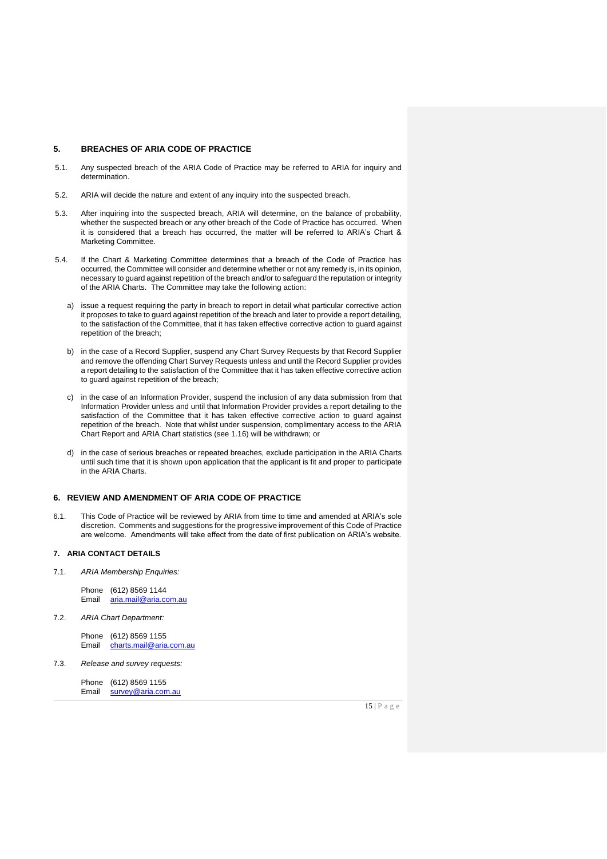#### **5. BREACHES OF ARIA CODE OF PRACTICE**

- 5.1. Any suspected breach of the ARIA Code of Practice may be referred to ARIA for inquiry and determination.
- 5.2. ARIA will decide the nature and extent of any inquiry into the suspected breach.
- 5.3. After inquiring into the suspected breach, ARIA will determine, on the balance of probability, whether the suspected breach or any other breach of the Code of Practice has occurred. When it is considered that a breach has occurred, the matter will be referred to ARIA's Chart & Marketing Committee.
- 5.4. If the Chart & Marketing Committee determines that a breach of the Code of Practice has occurred, the Committee will consider and determine whether or not any remedy is, in its opinion, necessary to guard against repetition of the breach and/or to safeguard the reputation or integrity of the ARIA Charts. The Committee may take the following action:
	- a) issue a request requiring the party in breach to report in detail what particular corrective action it proposes to take to guard against repetition of the breach and later to provide a report detailing, to the satisfaction of the Committee, that it has taken effective corrective action to guard against repetition of the breach;
	- b) in the case of a Record Supplier, suspend any Chart Survey Requests by that Record Supplier and remove the offending Chart Survey Requests unless and until the Record Supplier provides a report detailing to the satisfaction of the Committee that it has taken effective corrective action to guard against repetition of the breach;
	- c) in the case of an Information Provider, suspend the inclusion of any data submission from that Information Provider unless and until that Information Provider provides a report detailing to the satisfaction of the Committee that it has taken effective corrective action to guard against repetition of the breach. Note that whilst under suspension, complimentary access to the ARIA Chart Report and ARIA Chart statistics (see 1.16) will be withdrawn; or
	- d) in the case of serious breaches or repeated breaches, exclude participation in the ARIA Charts until such time that it is shown upon application that the applicant is fit and proper to participate in the ARIA Charts.

#### **6. REVIEW AND AMENDMENT OF ARIA CODE OF PRACTICE**

6.1. This Code of Practice will be reviewed by ARIA from time to time and amended at ARIA's sole discretion. Comments and suggestions for the progressive improvement of this Code of Practice are welcome. Amendments will take effect from the date of first publication on ARIA's website.

### **7. ARIA CONTACT DETAILS**

7.1. *ARIA Membership Enquiries:*

Phone  $(612)$  8569 1144<br>Email aria.mail@aria.com [aria.mail@aria.com.au](mailto:aria.mail@aria.com.au)

7.2. *ARIA Chart Department:*

Phone (612) 8569 1155 Email [charts.mail@aria.com.au](mailto:charts.mail@aria.com.au)

7.3. *Release and survey requests:*

Phone (612) 8569 1155 Email [survey@aria.com.au](mailto:survey@aria.com.au)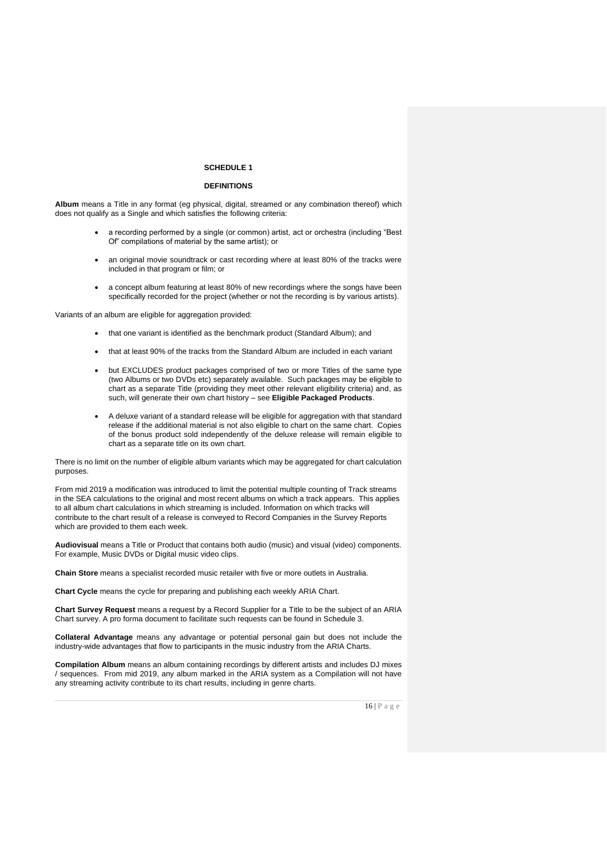#### **SCHEDULE 1**

### **DEFINITIONS**

**Album** means a Title in any format (eg physical, digital, streamed or any combination thereof) which does not qualify as a Single and which satisfies the following criteria:

- a recording performed by a single (or common) artist, act or orchestra (including "Best Of" compilations of material by the same artist); or
- an original movie soundtrack or cast recording where at least 80% of the tracks were included in that program or film; or
- a concept album featuring at least 80% of new recordings where the songs have been specifically recorded for the project (whether or not the recording is by various artists).

Variants of an album are eligible for aggregation provided:

- that one variant is identified as the benchmark product (Standard Album); and
- that at least 90% of the tracks from the Standard Album are included in each variant
- but EXCLUDES product packages comprised of two or more Titles of the same type (two Albums or two DVDs etc) separately available. Such packages may be eligible to chart as a separate Title (providing they meet other relevant eligibility criteria) and, as such, will generate their own chart history – see **Eligible Packaged Products**.
- A deluxe variant of a standard release will be eligible for aggregation with that standard release if the additional material is not also eligible to chart on the same chart. Copies of the bonus product sold independently of the deluxe release will remain eligible to chart as a separate title on its own chart.

There is no limit on the number of eligible album variants which may be aggregated for chart calculation purposes.

From mid 2019 a modification was introduced to limit the potential multiple counting of Track streams in the SEA calculations to the original and most recent albums on which a track appears. This applies to all album chart calculations in which streaming is included. Information on which tracks will contribute to the chart result of a release is conveyed to Record Companies in the Survey Reports which are provided to them each week.

**Audiovisual** means a Title or Product that contains both audio (music) and visual (video) components. For example, Music DVDs or Digital music video clips.

**Chain Store** means a specialist recorded music retailer with five or more outlets in Australia.

**Chart Cycle** means the cycle for preparing and publishing each weekly ARIA Chart.

**Chart Survey Request** means a request by a Record Supplier for a Title to be the subject of an ARIA Chart survey. A pro forma document to facilitate such requests can be found in Schedule 3.

**Collateral Advantage** means any advantage or potential personal gain but does not include the industry-wide advantages that flow to participants in the music industry from the ARIA Charts.

**Compilation Album** means an album containing recordings by different artists and includes DJ mixes / sequences. From mid 2019, any album marked in the ARIA system as a Compilation will not have any streaming activity contribute to its chart results, including in genre charts.

16 | P a g e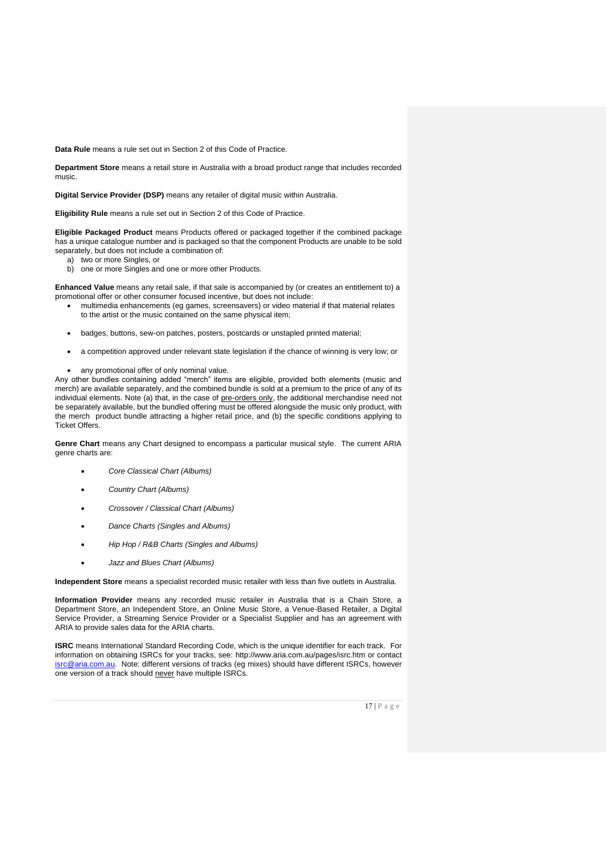**Data Rule** means a rule set out in Section 2 of this Code of Practice.

**Department Store** means a retail store in Australia with a broad product range that includes recorded music.

**Digital Service Provider (DSP)** means any retailer of digital music within Australia.

**Eligibility Rule** means a rule set out in Section 2 of this Code of Practice.

**Eligible Packaged Product** means Products offered or packaged together if the combined package has a unique catalogue number and is packaged so that the component Products are unable to be sold separately, but does not include a combination of:

- a) two or more Singles, or
- b) one or more Singles and one or more other Products.

**Enhanced Value** means any retail sale, if that sale is accompanied by (or creates an entitlement to) a promotional offer or other consumer focused incentive, but does not include:

- multimedia enhancements (eg games, screensavers) or video material if that material relates to the artist or the music contained on the same physical item;
- badges, buttons, sew-on patches, posters, postcards or unstapled printed material;
- a competition approved under relevant state legislation if the chance of winning is very low; or
- any promotional offer of only nominal value.

Any other bundles containing added "merch" items are eligible, provided both elements (music and merch) are available separately, and the combined bundle is sold at a premium to the price of any of its individual elements. Note (a) that, in the case of pre-orders only, the additional merchandise need not be separately available, but the bundled offering must be offered alongside the music only product, with the merch product bundle attracting a higher retail price, and (b) the specific conditions applying to Ticket Offers.

**Genre Chart** means any Chart designed to encompass a particular musical style. The current ARIA genre charts are:

- *Core Classical Chart (Albums)*
- *Country Chart (Albums)*
- *Crossover / Classical Chart (Albums)*
- *Dance Charts (Singles and Albums)*
- *Hip Hop / R&B Charts (Singles and Albums)*
- *Jazz and Blues Chart (Albums)*

**Independent Store** means a specialist recorded music retailer with less than five outlets in Australia.

**Information Provider** means any recorded music retailer in Australia that is a Chain Store, a Department Store, an Independent Store, an Online Music Store, a Venue-Based Retailer, a Digital Service Provider, a Streaming Service Provider or a Specialist Supplier and has an agreement with ARIA to provide sales data for the ARIA charts.

**ISRC** means International Standard Recording Code, which is the unique identifier for each track. For information on obtaining ISRCs for your tracks, see: http://www.aria.com.au/pages/isrc.htm or contact [isrc@aria.com.au.](mailto:isrc@aria.com.au) Note: different versions of tracks (eg mixes) should have different ISRCs, however one version of a track should never have multiple ISRCs.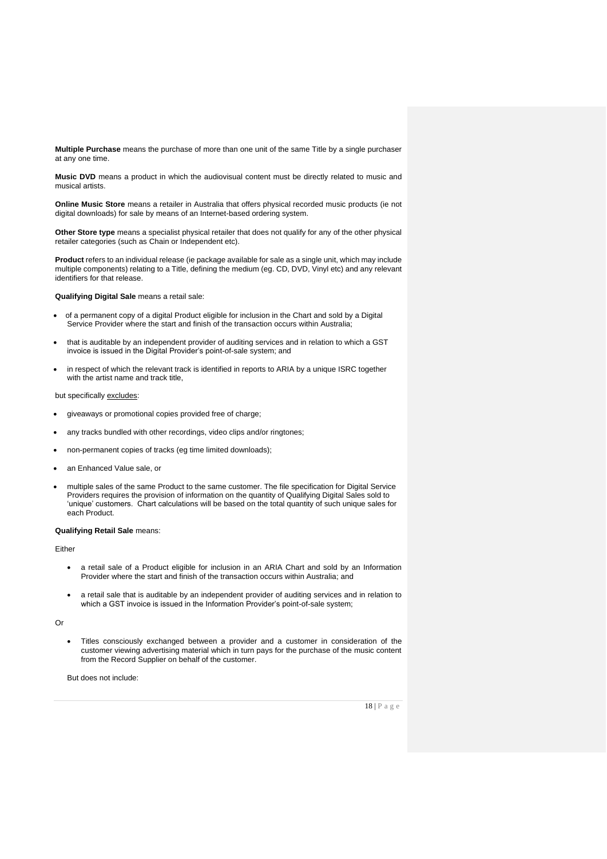**Multiple Purchase** means the purchase of more than one unit of the same Title by a single purchaser at any one time.

**Music DVD** means a product in which the audiovisual content must be directly related to music and musical artists.

**Online Music Store** means a retailer in Australia that offers physical recorded music products (ie not digital downloads) for sale by means of an Internet-based ordering system.

**Other Store type** means a specialist physical retailer that does not qualify for any of the other physical retailer categories (such as Chain or Independent etc).

**Product** refers to an individual release (ie package available for sale as a single unit, which may include multiple components) relating to a Title, defining the medium (eg. CD, DVD, Vinyl etc) and any relevant identifiers for that release.

**Qualifying Digital Sale** means a retail sale:

- of a permanent copy of a digital Product eligible for inclusion in the Chart and sold by a Digital Service Provider where the start and finish of the transaction occurs within Australia;
- that is auditable by an independent provider of auditing services and in relation to which a GST invoice is issued in the Digital Provider's point-of-sale system; and
- in respect of which the relevant track is identified in reports to ARIA by a unique ISRC together with the artist name and track title,

but specifically excludes:

- giveaways or promotional copies provided free of charge;
- any tracks bundled with other recordings, video clips and/or ringtones;
- non-permanent copies of tracks (eg time limited downloads);
- an Enhanced Value sale, or
- multiple sales of the same Product to the same customer. The file specification for Digital Service Providers requires the provision of information on the quantity of Qualifying Digital Sales sold to 'unique' customers. Chart calculations will be based on the total quantity of such unique sales for each Product.

#### **Qualifying Retail Sale** means:

Either

- a retail sale of a Product eligible for inclusion in an ARIA Chart and sold by an Information Provider where the start and finish of the transaction occurs within Australia; and
- a retail sale that is auditable by an independent provider of auditing services and in relation to which a GST invoice is issued in the Information Provider's point-of-sale system;

Or

• Titles consciously exchanged between a provider and a customer in consideration of the customer viewing advertising material which in turn pays for the purchase of the music content from the Record Supplier on behalf of the customer.

But does not include: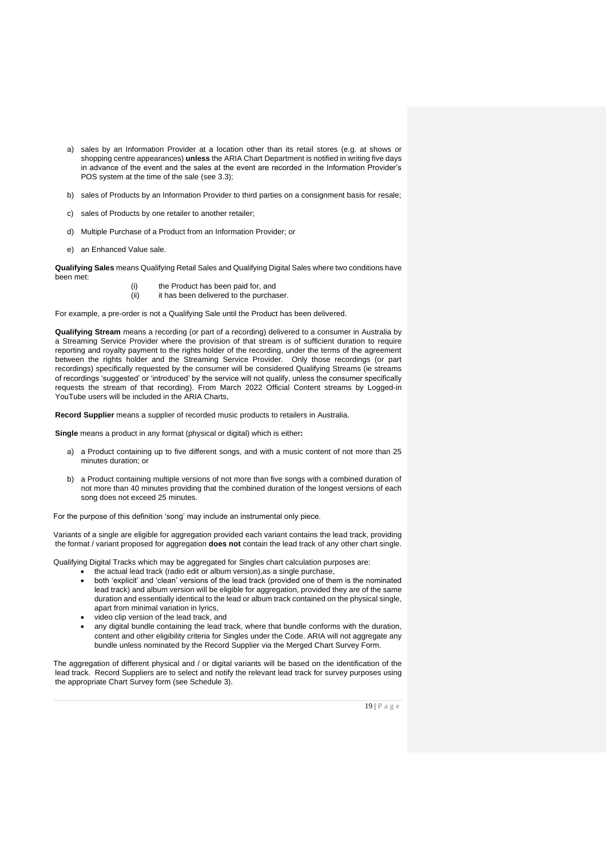- a) sales by an Information Provider at a location other than its retail stores (e.g. at shows or shopping centre appearances) **unless** the ARIA Chart Department is notified in writing five days in advance of the event and the sales at the event are recorded in the Information Provider's POS system at the time of the sale (see 3.3);
- b) sales of Products by an Information Provider to third parties on a consignment basis for resale;
- c) sales of Products by one retailer to another retailer;
- d) Multiple Purchase of a Product from an Information Provider; or
- e) an Enhanced Value sale.

**Qualifying Sales** means Qualifying Retail Sales and Qualifying Digital Sales where two conditions have been met:

> (i) the Product has been paid for, and (ii) it has been delivered to the purchaser.

For example, a pre-order is not a Qualifying Sale until the Product has been delivered.

**Qualifying Stream** means a recording (or part of a recording) delivered to a consumer in Australia by a Streaming Service Provider where the provision of that stream is of sufficient duration to require reporting and royalty payment to the rights holder of the recording, under the terms of the agreement between the rights holder and the Streaming Service Provider. Only those recordings (or part recordings) specifically requested by the consumer will be considered Qualifying Streams (ie streams of recordings 'suggested' or 'introduced' by the service will not qualify, unless the consumer specifically requests the stream of that recording). From March 2022 Official Content streams by Logged-in YouTube users will be included in the ARIA Charts,

**Record Supplier** means a supplier of recorded music products to retailers in Australia.

**Single** means a product in any format (physical or digital) which is either**:**

- a) a Product containing up to five different songs, and with a music content of not more than 25 minutes duration; or
- b) a Product containing multiple versions of not more than five songs with a combined duration of not more than 40 minutes providing that the combined duration of the longest versions of each song does not exceed 25 minutes.

For the purpose of this definition 'song' may include an instrumental only piece.

Variants of a single are eligible for aggregation provided each variant contains the lead track, providing the format / variant proposed for aggregation **does not** contain the lead track of any other chart single.

Qualifying Digital Tracks which may be aggregated for Singles chart calculation purposes are:

- the actual lead track (radio edit or album version),as a single purchase,
- both 'explicit' and 'clean' versions of the lead track (provided one of them is the nominated lead track) and album version will be eligible for aggregation, provided they are of the same duration and essentially identical to the lead or album track contained on the physical single, apart from minimal variation in lyrics,
- video clip version of the lead track, and
- any digital bundle containing the lead track, where that bundle conforms with the duration, content and other eligibility criteria for Singles under the Code. ARIA will not aggregate any bundle unless nominated by the Record Supplier via the Merged Chart Survey Form.

The aggregation of different physical and / or digital variants will be based on the identification of the lead track. Record Suppliers are to select and notify the relevant lead track for survey purposes using the appropriate Chart Survey form (see Schedule 3).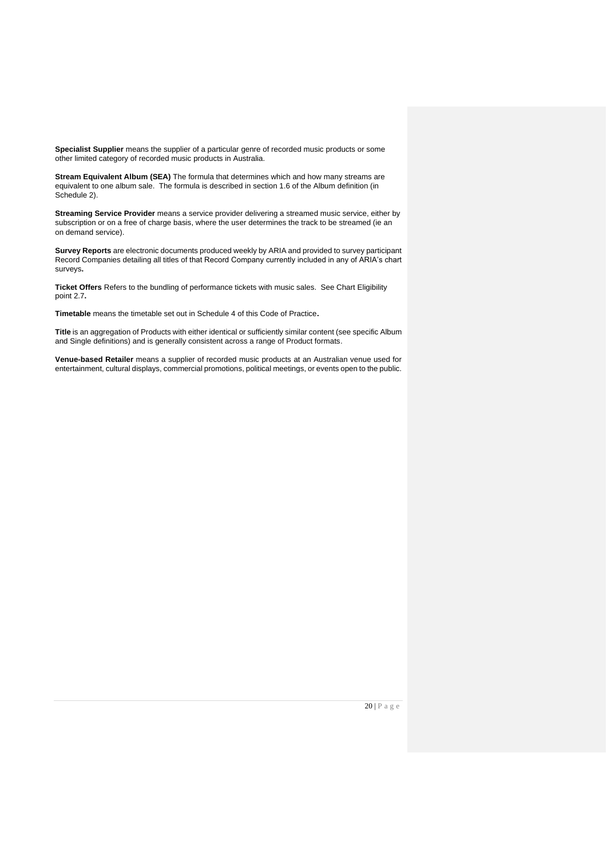**Specialist Supplier** means the supplier of a particular genre of recorded music products or some other limited category of recorded music products in Australia.

**Stream Equivalent Album (SEA)** The formula that determines which and how many streams are equivalent to one album sale. The formula is described in section 1.6 of the Album definition (in Schedule 2).

**Streaming Service Provider** means a service provider delivering a streamed music service, either by subscription or on a free of charge basis, where the user determines the track to be streamed (ie an on demand service).

**Survey Reports** are electronic documents produced weekly by ARIA and provided to survey participant Record Companies detailing all titles of that Record Company currently included in any of ARIA's chart surveys**.**

**Ticket Offers** Refers to the bundling of performance tickets with music sales. See Chart Eligibility point 2.7**.** 

**Timetable** means the timetable set out in Schedule 4 of this Code of Practice**.** 

**Title** is an aggregation of Products with either identical or sufficiently similar content (see specific Album and Single definitions) and is generally consistent across a range of Product formats.

**Venue-based Retailer** means a supplier of recorded music products at an Australian venue used for entertainment, cultural displays, commercial promotions, political meetings, or events open to the public.

20 | P a g e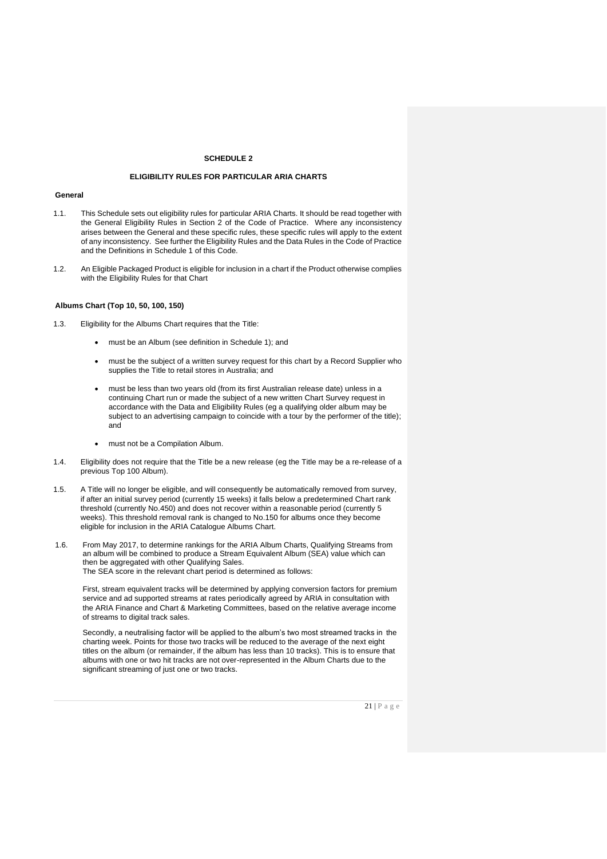#### **SCHEDULE 2**

#### **ELIGIBILITY RULES FOR PARTICULAR ARIA CHARTS**

#### **General**

- 1.1. This Schedule sets out eligibility rules for particular ARIA Charts. It should be read together with the General Eligibility Rules in Section 2 of the Code of Practice. Where any inconsistency arises between the General and these specific rules, these specific rules will apply to the extent of any inconsistency. See further the Eligibility Rules and the Data Rules in the Code of Practice and the Definitions in Schedule 1 of this Code.
- 1.2. An Eligible Packaged Product is eligible for inclusion in a chart if the Product otherwise complies with the Eligibility Rules for that Chart

#### **Albums Chart (Top 10, 50, 100, 150)**

- 1.3. Eligibility for the Albums Chart requires that the Title:
	- must be an Album (see definition in Schedule 1); and
	- must be the subject of a written survey request for this chart by a Record Supplier who supplies the Title to retail stores in Australia; and
	- must be less than two years old (from its first Australian release date) unless in a continuing Chart run or made the subject of a new written Chart Survey request in accordance with the Data and Eligibility Rules (eg a qualifying older album may be subject to an advertising campaign to coincide with a tour by the performer of the title); and
	- must not be a Compilation Album.
- 1.4. Eligibility does not require that the Title be a new release (eg the Title may be a re-release of a previous Top 100 Album).
- 1.5. A Title will no longer be eligible, and will consequently be automatically removed from survey, if after an initial survey period (currently 15 weeks) it falls below a predetermined Chart rank threshold (currently No.450) and does not recover within a reasonable period (currently 5 weeks). This threshold removal rank is changed to No.150 for albums once they become eligible for inclusion in the ARIA Catalogue Albums Chart.
- 1.6. From May 2017, to determine rankings for the ARIA Album Charts, Qualifying Streams from an album will be combined to produce a Stream Equivalent Album (SEA) value which can then be aggregated with other Qualifying Sales. The SEA score in the relevant chart period is determined as follows:

First, stream equivalent tracks will be determined by applying conversion factors for premium service and ad supported streams at rates periodically agreed by ARIA in consultation with the ARIA Finance and Chart & Marketing Committees, based on the relative average income of streams to digital track sales.

Secondly, a neutralising factor will be applied to the album's two most streamed tracks in the charting week. Points for those two tracks will be reduced to the average of the next eight titles on the album (or remainder, if the album has less than 10 tracks). This is to ensure that albums with one or two hit tracks are not over-represented in the Album Charts due to the significant streaming of just one or two tracks.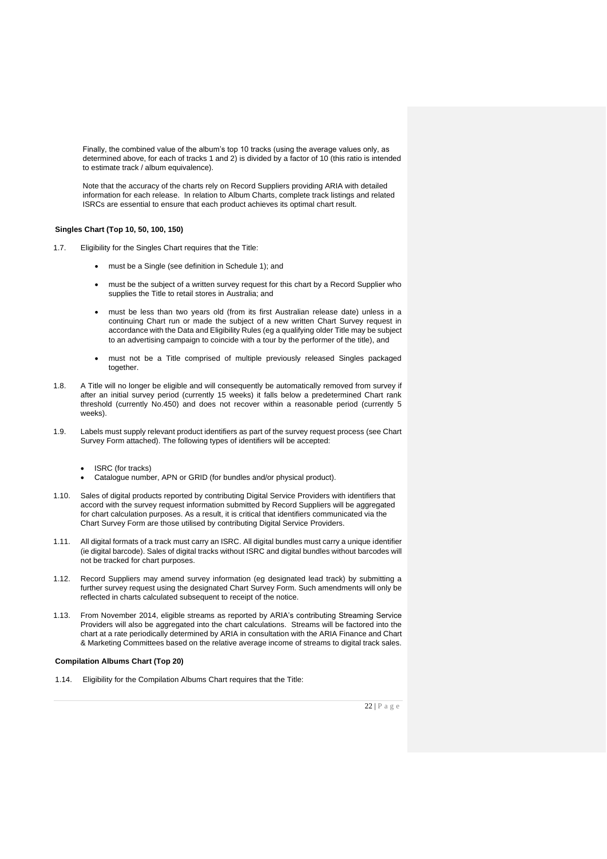Finally, the combined value of the album's top 10 tracks (using the average values only, as determined above, for each of tracks 1 and 2) is divided by a factor of 10 (this ratio is intended to estimate track / album equivalence).

Note that the accuracy of the charts rely on Record Suppliers providing ARIA with detailed information for each release. In relation to Album Charts, complete track listings and related ISRCs are essential to ensure that each product achieves its optimal chart result.

#### **Singles Chart (Top 10, 50, 100, 150)**

- 1.7. Eligibility for the Singles Chart requires that the Title:
	- must be a Single (see definition in Schedule 1); and
	- must be the subject of a written survey request for this chart by a Record Supplier who supplies the Title to retail stores in Australia; and
	- must be less than two years old (from its first Australian release date) unless in a continuing Chart run or made the subject of a new written Chart Survey request in accordance with the Data and Eligibility Rules (eg a qualifying older Title may be subject to an advertising campaign to coincide with a tour by the performer of the title), and
	- must not be a Title comprised of multiple previously released Singles packaged together.
- 1.8. A Title will no longer be eligible and will consequently be automatically removed from survey if after an initial survey period (currently 15 weeks) it falls below a predetermined Chart rank threshold (currently No.450) and does not recover within a reasonable period (currently 5 weeks).
- 1.9. Labels must supply relevant product identifiers as part of the survey request process (see Chart Survey Form attached). The following types of identifiers will be accepted:
	- ISRC (for tracks)
	- Catalogue number, APN or GRID (for bundles and/or physical product).
- 1.10. Sales of digital products reported by contributing Digital Service Providers with identifiers that accord with the survey request information submitted by Record Suppliers will be aggregated for chart calculation purposes. As a result, it is critical that identifiers communicated via the Chart Survey Form are those utilised by contributing Digital Service Providers.
- 1.11. All digital formats of a track must carry an ISRC. All digital bundles must carry a unique identifier (ie digital barcode). Sales of digital tracks without ISRC and digital bundles without barcodes will not be tracked for chart purposes.
- 1.12. Record Suppliers may amend survey information (eg designated lead track) by submitting a further survey request using the designated Chart Survey Form. Such amendments will only be reflected in charts calculated subsequent to receipt of the notice.
- 1.13. From November 2014, eligible streams as reported by ARIA's contributing Streaming Service Providers will also be aggregated into the chart calculations. Streams will be factored into the chart at a rate periodically determined by ARIA in consultation with the ARIA Finance and Chart & Marketing Committees based on the relative average income of streams to digital track sales.

#### **Compilation Albums Chart (Top 20)**

1.14. Eligibility for the Compilation Albums Chart requires that the Title: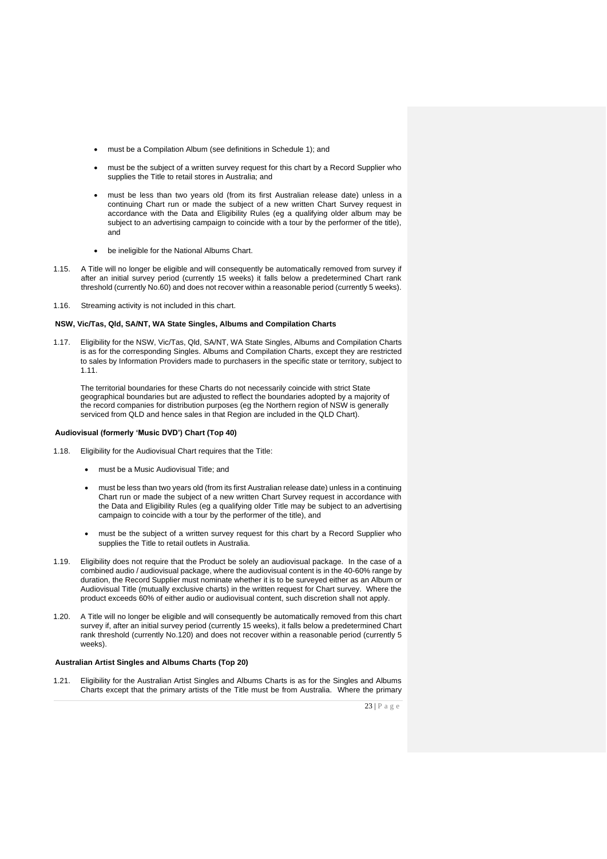- must be a Compilation Album (see definitions in Schedule 1); and
- must be the subject of a written survey request for this chart by a Record Supplier who supplies the Title to retail stores in Australia; and
- must be less than two years old (from its first Australian release date) unless in a continuing Chart run or made the subject of a new written Chart Survey request in accordance with the Data and Eligibility Rules (eg a qualifying older album may be subject to an advertising campaign to coincide with a tour by the performer of the title), and
- be ineligible for the National Albums Chart.
- 1.15. A Title will no longer be eligible and will consequently be automatically removed from survey if after an initial survey period (currently 15 weeks) it falls below a predetermined Chart rank threshold (currently No.60) and does not recover within a reasonable period (currently 5 weeks).
- 1.16. Streaming activity is not included in this chart.

#### **NSW, Vic/Tas, Qld, SA/NT, WA State Singles, Albums and Compilation Charts**

1.17. Eligibility for the NSW, Vic/Tas, Qld, SA/NT, WA State Singles, Albums and Compilation Charts is as for the corresponding Singles. Albums and Compilation Charts, except they are restricted to sales by Information Providers made to purchasers in the specific state or territory, subject to 1.11.

The territorial boundaries for these Charts do not necessarily coincide with strict State geographical boundaries but are adjusted to reflect the boundaries adopted by a majority of the record companies for distribution purposes (eg the Northern region of NSW is generally serviced from QLD and hence sales in that Region are included in the QLD Chart).

#### **Audiovisual (formerly 'Music DVD') Chart (Top 40)**

- 1.18. Eligibility for the Audiovisual Chart requires that the Title:
	- must be a Music Audiovisual Title; and
	- must be less than two years old (from its first Australian release date) unless in a continuing Chart run or made the subject of a new written Chart Survey request in accordance with the Data and Eligibility Rules (eg a qualifying older Title may be subject to an advertising campaign to coincide with a tour by the performer of the title), and
	- must be the subject of a written survey request for this chart by a Record Supplier who supplies the Title to retail outlets in Australia.
- 1.19. Eligibility does not require that the Product be solely an audiovisual package. In the case of a combined audio / audiovisual package, where the audiovisual content is in the 40-60% range by duration, the Record Supplier must nominate whether it is to be surveyed either as an Album or Audiovisual Title (mutually exclusive charts) in the written request for Chart survey. Where the product exceeds 60% of either audio or audiovisual content, such discretion shall not apply.
- 1.20. A Title will no longer be eligible and will consequently be automatically removed from this chart survey if, after an initial survey period (currently 15 weeks), it falls below a predetermined Chart rank threshold (currently No.120) and does not recover within a reasonable period (currently 5 weeks).

#### **Australian Artist Singles and Albums Charts (Top 20)**

1.21. Eligibility for the Australian Artist Singles and Albums Charts is as for the Singles and Albums Charts except that the primary artists of the Title must be from Australia. Where the primary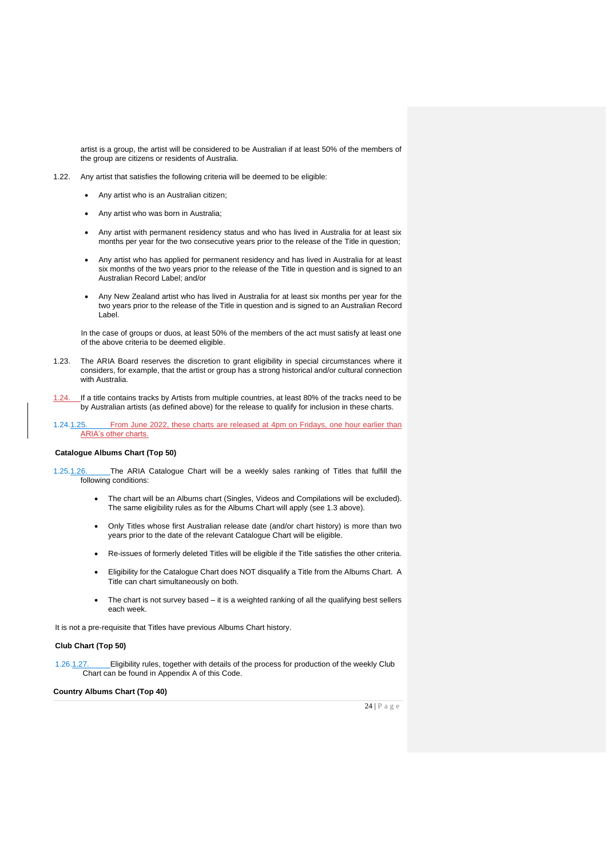artist is a group, the artist will be considered to be Australian if at least 50% of the members of the group are citizens or residents of Australia.

- 1.22. Any artist that satisfies the following criteria will be deemed to be eligible:
	- Any artist who is an Australian citizen;
	- Any artist who was born in Australia;
	- Any artist with permanent residency status and who has lived in Australia for at least six months per year for the two consecutive years prior to the release of the Title in question;
	- Any artist who has applied for permanent residency and has lived in Australia for at least six months of the two years prior to the release of the Title in question and is signed to an Australian Record Label; and/or
	- Any New Zealand artist who has lived in Australia for at least six months per year for the two years prior to the release of the Title in question and is signed to an Australian Record Label.

In the case of groups or duos, at least 50% of the members of the act must satisfy at least one of the above criteria to be deemed eligible.

- 1.23. The ARIA Board reserves the discretion to grant eligibility in special circumstances where it considers, for example, that the artist or group has a strong historical and/or cultural connection with Australia.
- 1.24. If a title contains tracks by Artists from multiple countries, at least 80% of the tracks need to be by Australian artists (as defined above) for the release to qualify for inclusion in these charts.
- 1.24.1.25. From June 2022, these charts are released at 4pm on Fridays, one hour earlier than ARIA's other charts.

#### **Catalogue Albums Chart (Top 50)**

- 1.25.1.26. The ARIA Catalogue Chart will be a weekly sales ranking of Titles that fulfill the following conditions:
	- The chart will be an Albums chart (Singles, Videos and Compilations will be excluded). The same eligibility rules as for the Albums Chart will apply (see 1.3 above).
	- Only Titles whose first Australian release date (and/or chart history) is more than two years prior to the date of the relevant Catalogue Chart will be eligible.
	- Re-issues of formerly deleted Titles will be eligible if the Title satisfies the other criteria.
	- Eligibility for the Catalogue Chart does NOT disqualify a Title from the Albums Chart. A Title can chart simultaneously on both.
	- The chart is not survey based it is a weighted ranking of all the qualifying best sellers each week.

It is not a pre-requisite that Titles have previous Albums Chart history.

#### **Club Chart (Top 50)**

1.26.1.27. Eligibility rules, together with details of the process for production of the weekly Club Chart can be found in Appendix A of this Code.

#### **Country Albums Chart (Top 40)**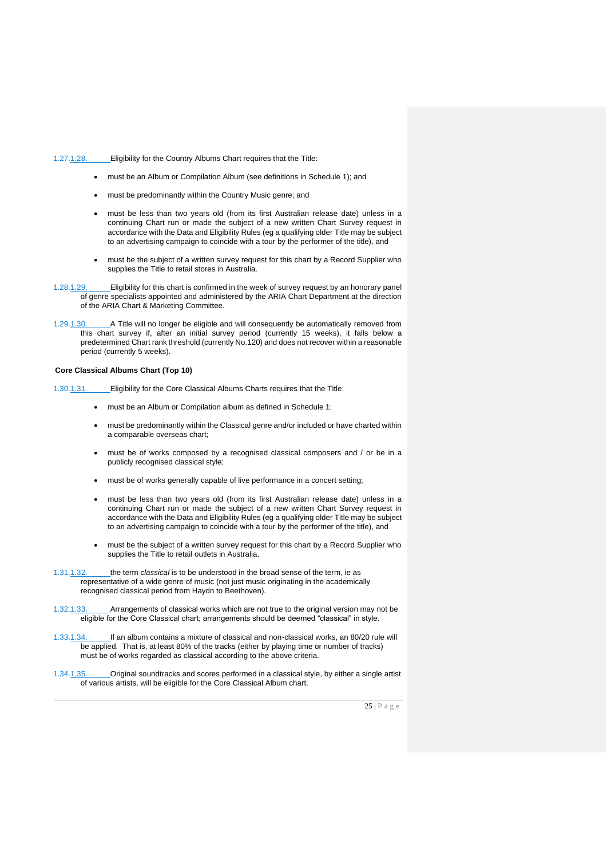#### 1.27.1.28. Eligibility for the Country Albums Chart requires that the Title:

- must be an Album or Compilation Album (see definitions in Schedule 1); and
- must be predominantly within the Country Music genre; and
- must be less than two years old (from its first Australian release date) unless in a continuing Chart run or made the subject of a new written Chart Survey request in accordance with the Data and Eligibility Rules (eg a qualifying older Title may be subject to an advertising campaign to coincide with a tour by the performer of the title), and
- must be the subject of a written survey request for this chart by a Record Supplier who supplies the Title to retail stores in Australia.
- 1.28.1.29. Eligibility for this chart is confirmed in the week of survey request by an honorary panel of genre specialists appointed and administered by the ARIA Chart Department at the direction of the ARIA Chart & Marketing Committee.
- 1.29.1.30. A Title will no longer be eligible and will consequently be automatically removed from this chart survey if, after an initial survey period (currently 15 weeks), it falls below a predetermined Chart rank threshold (currently No.120) and does not recover within a reasonable period (currently 5 weeks).

#### **Core Classical Albums Chart (Top 10)**

- 1.30.1.31. Eligibility for the Core Classical Albums Charts requires that the Title:
	- must be an Album or Compilation album as defined in Schedule 1;
	- must be predominantly within the Classical genre and/or included or have charted within a comparable overseas chart;
	- must be of works composed by a recognised classical composers and / or be in a publicly recognised classical style;
	- must be of works generally capable of live performance in a concert setting;
	- must be less than two years old (from its first Australian release date) unless in a continuing Chart run or made the subject of a new written Chart Survey request in accordance with the Data and Eligibility Rules (eg a qualifying older Title may be subject to an advertising campaign to coincide with a tour by the performer of the title), and
	- must be the subject of a written survey request for this chart by a Record Supplier who supplies the Title to retail outlets in Australia.
- 1.31.1.32. the term *classical* is to be understood in the broad sense of the term, ie as representative of a wide genre of music (not just music originating in the academically recognised classical period from Haydn to Beethoven).
- 1.32.1.33. Arrangements of classical works which are not true to the original version may not be eligible for the Core Classical chart; arrangements should be deemed "classical" in style.
- 1.33.1.34. If an album contains a mixture of classical and non-classical works, an 80/20 rule will be applied. That is, at least 80% of the tracks (either by playing time or number of tracks) must be of works regarded as classical according to the above criteria.
- 1.34.1.35. Original soundtracks and scores performed in a classical style, by either a single artist of various artists, will be eligible for the Core Classical Album chart.

25 | P a g e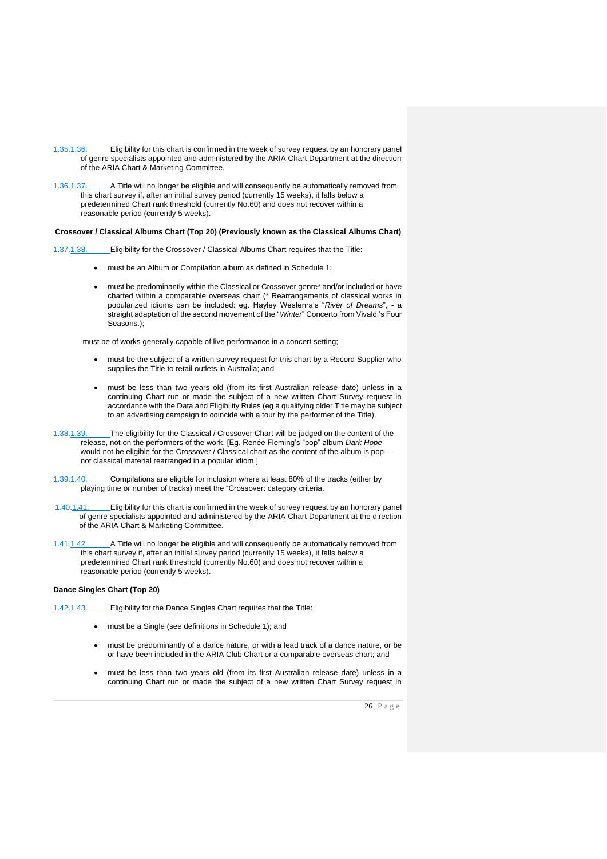- 1.35.1.36. Eligibility for this chart is confirmed in the week of survey request by an honorary panel of genre specialists appointed and administered by the ARIA Chart Department at the direction of the ARIA Chart & Marketing Committee.
- 1.36.1.37. A Title will no longer be eligible and will consequently be automatically removed from this chart survey if, after an initial survey period (currently 15 weeks), it falls below a predetermined Chart rank threshold (currently No.60) and does not recover within a reasonable period (currently 5 weeks).

#### **Crossover / Classical Albums Chart (Top 20) (Previously known as the Classical Albums Chart)**

1.37.1.38. Eligibility for the Crossover / Classical Albums Chart requires that the Title:

- must be an Album or Compilation album as defined in Schedule 1;
- must be predominantly within the Classical or Crossover genre\* and/or included or have charted within a comparable overseas chart (\* Rearrangements of classical works in popularized idioms can be included: eg. Hayley Westenra's "*River of Dreams*", - a straight adaptation of the second movement of the "*Winter*" Concerto from Vivaldi's Four Seasons.);

must be of works generally capable of live performance in a concert setting;

- must be the subject of a written survey request for this chart by a Record Supplier who supplies the Title to retail outlets in Australia; and
- must be less than two years old (from its first Australian release date) unless in a continuing Chart run or made the subject of a new written Chart Survey request in accordance with the Data and Eligibility Rules (eg a qualifying older Title may be subject to an advertising campaign to coincide with a tour by the performer of the Title).
- 1.38.1.39. The eligibility for the Classical / Crossover Chart will be judged on the content of the release, not on the performers of the work. [Eg. Renée Fleming's "pop" album *Dark Hope* would not be eligible for the Crossover / Classical chart as the content of the album is pop – not classical material rearranged in a popular idiom.]
- 1.39.1.40. Compilations are eligible for inclusion where at least 80% of the tracks (either by playing time or number of tracks) meet the "Crossover: category criteria.
- 1.40.1.41. Eligibility for this chart is confirmed in the week of survey request by an honorary panel of genre specialists appointed and administered by the ARIA Chart Department at the direction of the ARIA Chart & Marketing Committee.
- 1.41.1.42. A Title will no longer be eligible and will consequently be automatically removed from this chart survey if, after an initial survey period (currently 15 weeks), it falls below a predetermined Chart rank threshold (currently No.60) and does not recover within a reasonable period (currently 5 weeks).

#### **Dance Singles Chart (Top 20)**

1.42.1.43. Eligibility for the Dance Singles Chart requires that the Title:

- must be a Single (see definitions in Schedule 1); and
- must be predominantly of a dance nature, or with a lead track of a dance nature, or be or have been included in the ARIA Club Chart or a comparable overseas chart; and
- must be less than two years old (from its first Australian release date) unless in a continuing Chart run or made the subject of a new written Chart Survey request in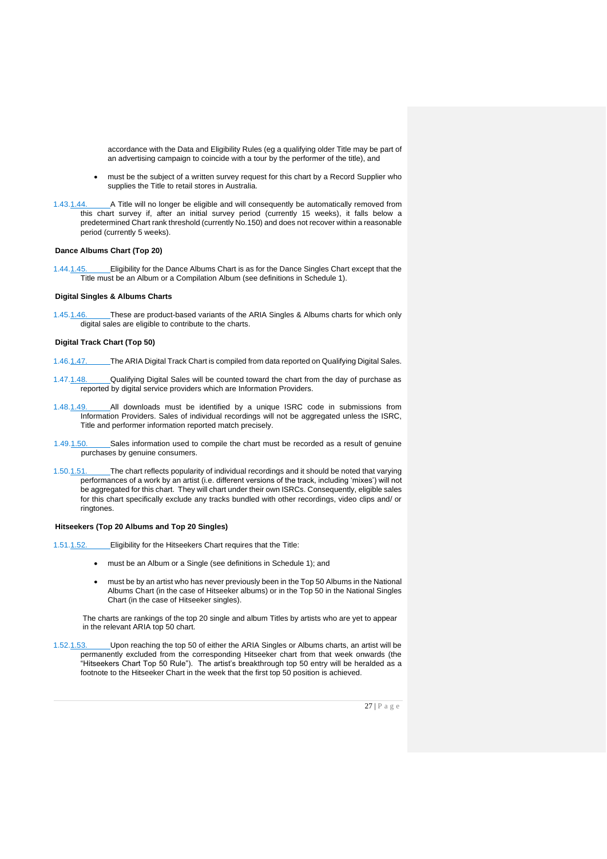accordance with the Data and Eligibility Rules (eg a qualifying older Title may be part of an advertising campaign to coincide with a tour by the performer of the title), and

- must be the subject of a written survey request for this chart by a Record Supplier who supplies the Title to retail stores in Australia.
- 1.43.1.44. A Title will no longer be eligible and will consequently be automatically removed from this chart survey if, after an initial survey period (currently 15 weeks), it falls below a predetermined Chart rank threshold (currently No.150) and does not recover within a reasonable period (currently 5 weeks).

#### **Dance Albums Chart (Top 20)**

1.44.1.45. Eligibility for the Dance Albums Chart is as for the Dance Singles Chart except that the Title must be an Album or a Compilation Album (see definitions in Schedule 1).

#### **Digital Singles & Albums Charts**

1.45.1.46. These are product-based variants of the ARIA Singles & Albums charts for which only digital sales are eligible to contribute to the charts.

#### **Digital Track Chart (Top 50)**

- 1.46.1.47. The ARIA Digital Track Chart is compiled from data reported on Qualifying Digital Sales.
- 1.47.1.48. Qualifying Digital Sales will be counted toward the chart from the day of purchase as reported by digital service providers which are Information Providers.
- 1.48.1.49. All downloads must be identified by a unique ISRC code in submissions from Information Providers. Sales of individual recordings will not be aggregated unless the ISRC, Title and performer information reported match precisely.
- 1.49.1.50. Sales information used to compile the chart must be recorded as a result of genuine purchases by genuine consumers.
- 1.50.1.51. The chart reflects popularity of individual recordings and it should be noted that varying performances of a work by an artist (i.e. different versions of the track, including 'mixes') will not be aggregated for this chart. They will chart under their own ISRCs. Consequently, eligible sales for this chart specifically exclude any tracks bundled with other recordings, video clips and/ or ringtones.

#### **Hitseekers (Top 20 Albums and Top 20 Singles)**

1.51.1.52. Eligibility for the Hitseekers Chart requires that the Title:

- must be an Album or a Single (see definitions in Schedule 1); and
- must be by an artist who has never previously been in the Top 50 Albums in the National Albums Chart (in the case of Hitseeker albums) or in the Top 50 in the National Singles Chart (in the case of Hitseeker singles).

The charts are rankings of the top 20 single and album Titles by artists who are yet to appear in the relevant ARIA top 50 chart.

1.52.1.53. Upon reaching the top 50 of either the ARIA Singles or Albums charts, an artist will be permanently excluded from the corresponding Hitseeker chart from that week onwards (the "Hitseekers Chart Top 50 Rule"). The artist's breakthrough top 50 entry will be heralded as a footnote to the Hitseeker Chart in the week that the first top 50 position is achieved.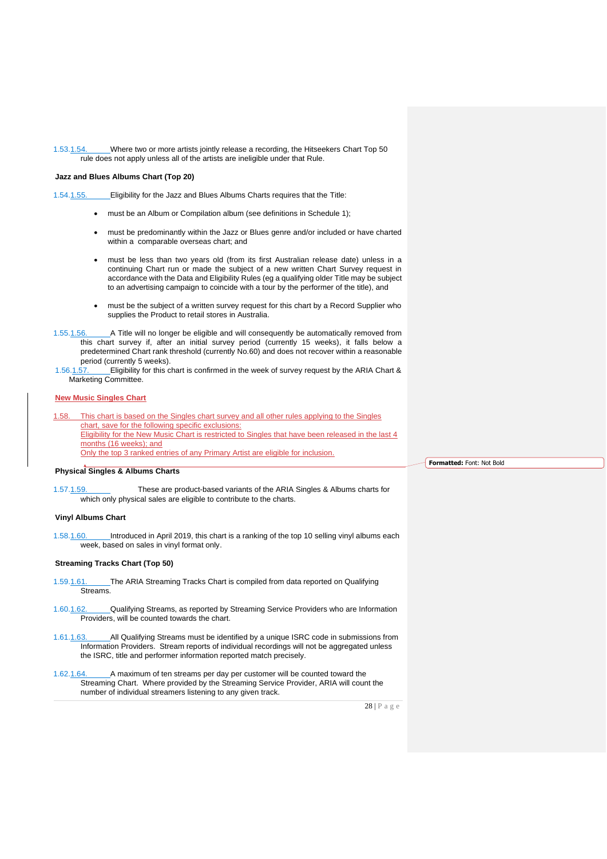1.53.1.54. Where two or more artists jointly release a recording, the Hitseekers Chart Top 50 rule does not apply unless all of the artists are ineligible under that Rule.

#### **Jazz and Blues Albums Chart (Top 20)**

- 1.54.1.55. Eligibility for the Jazz and Blues Albums Charts requires that the Title:
	- must be an Album or Compilation album (see definitions in Schedule 1);
	- must be predominantly within the Jazz or Blues genre and/or included or have charted within a comparable overseas chart; and
	- must be less than two years old (from its first Australian release date) unless in a continuing Chart run or made the subject of a new written Chart Survey request in accordance with the Data and Eligibility Rules (eg a qualifying older Title may be subject to an advertising campaign to coincide with a tour by the performer of the title), and
	- must be the subject of a written survey request for this chart by a Record Supplier who supplies the Product to retail stores in Australia.
- 1.55.1.56. A Title will no longer be eligible and will consequently be automatically removed from this chart survey if, after an initial survey period (currently 15 weeks), it falls below a predetermined Chart rank threshold (currently No.60) and does not recover within a reasonable period (currently 5 weeks).<br>1.56.1.57. Eligibility for this c
- 1.56.1.57. Eligibility for this chart is confirmed in the week of survey request by the ARIA Chart & Marketing Committee.

# **New Music Singles Chart**

1.58. This chart is based on the Singles chart survey and all other rules applying to the Singles chart, save for the following specific exclusions: Eligibility for the New Music Chart is restricted to Singles that have been released in the last 4 months (16 weeks); and Only the top 3 ranked entries of any Primary Artist are eligible for inclusion.

#### **Physical Singles & Albums Charts**

1.57.1.59. These are product-based variants of the ARIA Singles & Albums charts for which only physical sales are eligible to contribute to the charts.

#### **Vinyl Albums Chart**

1.58.1.60. Introduced in April 2019, this chart is a ranking of the top 10 selling vinyl albums each week, based on sales in vinyl format only.

#### **Streaming Tracks Chart (Top 50)**

- 1.59.1.61. The ARIA Streaming Tracks Chart is compiled from data reported on Qualifying Streams.
- 1.60.1.62. Qualifying Streams, as reported by Streaming Service Providers who are Information Providers, will be counted towards the chart.
- 1.61.1.63. All Qualifying Streams must be identified by a unique ISRC code in submissions from Information Providers. Stream reports of individual recordings will not be aggregated unless the ISRC, title and performer information reported match precisely.
- 1.62.1.64. A maximum of ten streams per day per customer will be counted toward the Streaming Chart. Where provided by the Streaming Service Provider, ARIA will count the number of individual streamers listening to any given track.

28 | P a g e

**Formatted:** Font: Not Bold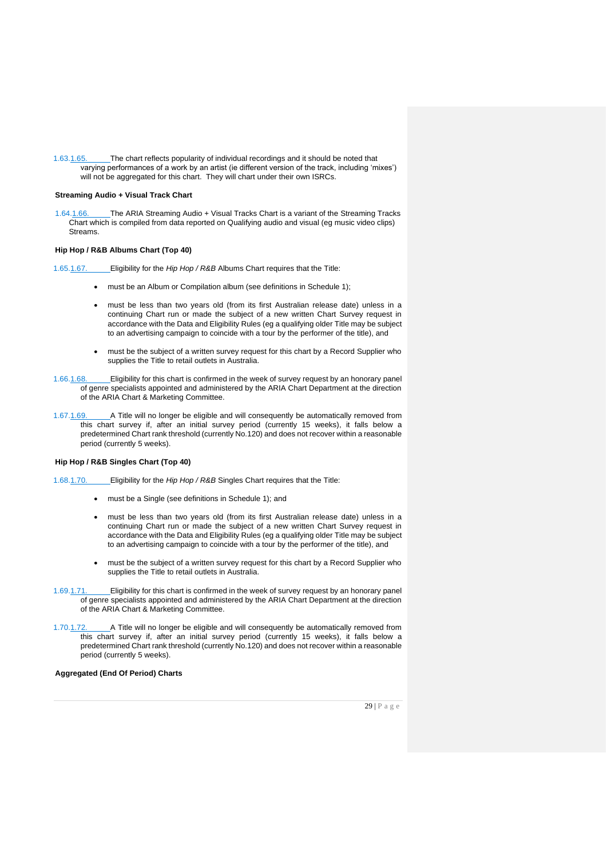1.63.1.65. The chart reflects popularity of individual recordings and it should be noted that varying performances of a work by an artist (ie different version of the track, including 'mixes') will not be aggregated for this chart. They will chart under their own ISRCs.

#### **Streaming Audio + Visual Track Chart**

1.64.1.66. The ARIA Streaming Audio + Visual Tracks Chart is a variant of the Streaming Tracks Chart which is compiled from data reported on Qualifying audio and visual (eg music video clips) Streams.

#### **Hip Hop / R&B Albums Chart (Top 40)**

1.65.1.67. Eligibility for the *Hip Hop / R&B* Albums Chart requires that the Title:

- must be an Album or Compilation album (see definitions in Schedule 1);
- must be less than two years old (from its first Australian release date) unless in a continuing Chart run or made the subject of a new written Chart Survey request in accordance with the Data and Eligibility Rules (eg a qualifying older Title may be subject to an advertising campaign to coincide with a tour by the performer of the title), and
- must be the subject of a written survey request for this chart by a Record Supplier who supplies the Title to retail outlets in Australia.
- 1.66.1.68. Eligibility for this chart is confirmed in the week of survey request by an honorary panel of genre specialists appointed and administered by the ARIA Chart Department at the direction of the ARIA Chart & Marketing Committee.
- 1.67.1.69. A Title will no longer be eligible and will consequently be automatically removed from this chart survey if, after an initial survey period (currently 15 weeks), it falls below a predetermined Chart rank threshold (currently No.120) and does not recover within a reasonable period (currently 5 weeks).

# **Hip Hop / R&B Singles Chart (Top 40)**

1.68.1.70. Eligibility for the *Hip Hop / R&B* Singles Chart requires that the Title:

- must be a Single (see definitions in Schedule 1); and
- must be less than two years old (from its first Australian release date) unless in a continuing Chart run or made the subject of a new written Chart Survey request in accordance with the Data and Eligibility Rules (eg a qualifying older Title may be subject to an advertising campaign to coincide with a tour by the performer of the title), and
- must be the subject of a written survey request for this chart by a Record Supplier who supplies the Title to retail outlets in Australia.
- 1.69.1.71. Eligibility for this chart is confirmed in the week of survey request by an honorary panel of genre specialists appointed and administered by the ARIA Chart Department at the direction of the ARIA Chart & Marketing Committee.
- 1.70.1.72. A Title will no longer be eligible and will consequently be automatically removed from this chart survey if, after an initial survey period (currently 15 weeks), it falls below a predetermined Chart rank threshold (currently No.120) and does not recover within a reasonable period (currently 5 weeks).

#### **Aggregated (End Of Period) Charts**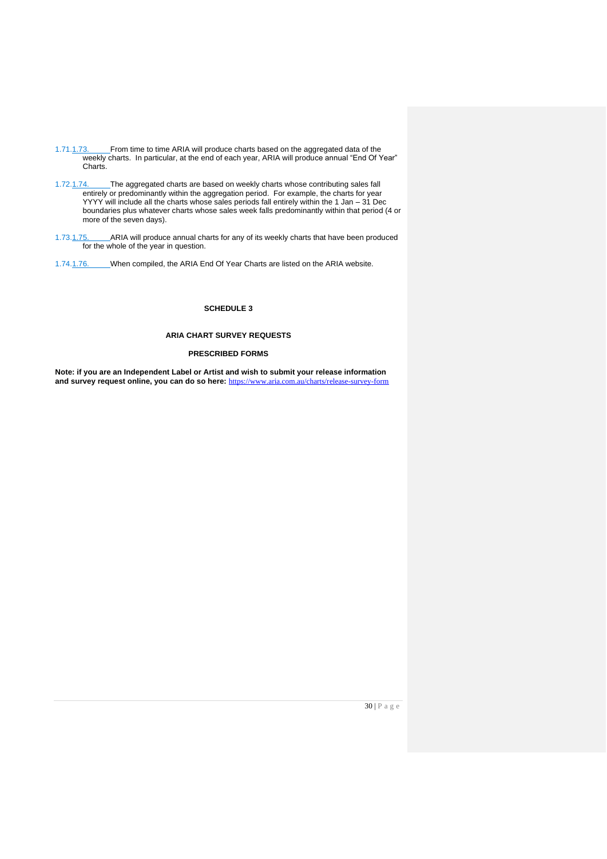- 1.71.1.73. From time to time ARIA will produce charts based on the aggregated data of the weekly charts. In particular, at the end of each year, ARIA will produce annual "End Of Year" Charts.
- 1.72.1.74. The aggregated charts are based on weekly charts whose contributing sales fall entirely or predominantly within the aggregation period. For example, the charts for year YYYY will include all the charts whose sales periods fall entirely within the 1 Jan – 31 Dec boundaries plus whatever charts whose sales week falls predominantly within that period (4 or more of the seven days).
- 1.73.1.75. ARIA will produce annual charts for any of its weekly charts that have been produced for the whole of the year in question.
- 1.74.1.76. When compiled, the ARIA End Of Year Charts are listed on the ARIA website.

**SCHEDULE 3**

#### **ARIA CHART SURVEY REQUESTS**

### **PRESCRIBED FORMS**

**Note: if you are an Independent Label or Artist and wish to submit your release information and survey request online, you can do so here:** <https://www.aria.com.au/charts/release-survey-form>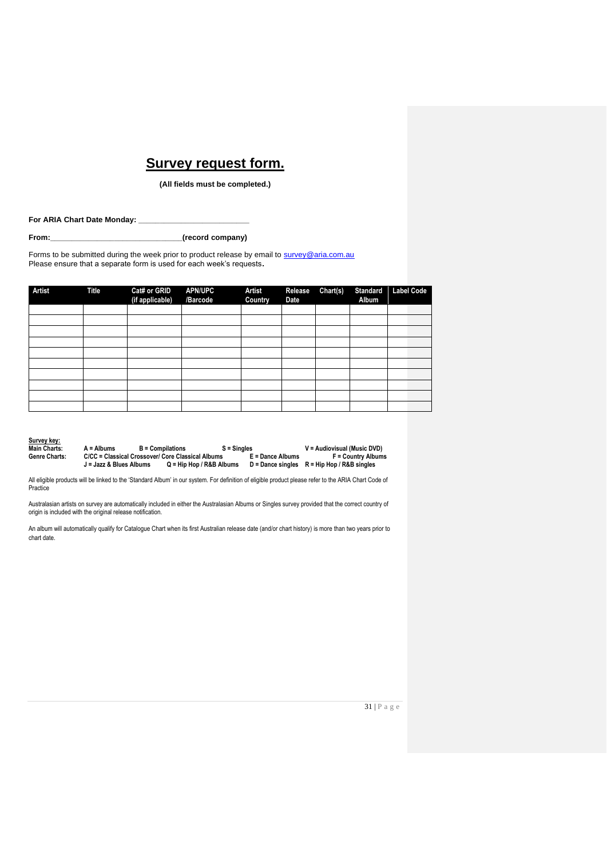# **Survey request form.**

**(All fields must be completed.)**

For ARIA Chart Date Monday: \_

**From:\_\_\_\_\_\_\_\_\_\_\_\_\_\_\_\_\_\_\_\_\_\_\_\_\_\_\_\_\_\_\_(record company)**

Forms to be submitted during the week prior to product release by email to [survey@aria.com.au](mailto:survey@aria.com.au) Please ensure that a separate form is used for each week's requests**.**

| Artist | <b>Title</b> | Cat# or GRID<br>(if applicable) | <b>APN/UPC</b><br>/Barcode | <b>Artist</b><br>Country | Release<br><b>Date</b> | Chart(s) | <b>Standard</b><br>Album | <b>Label Code</b> |
|--------|--------------|---------------------------------|----------------------------|--------------------------|------------------------|----------|--------------------------|-------------------|
|        |              |                                 |                            |                          |                        |          |                          |                   |
|        |              |                                 |                            |                          |                        |          |                          |                   |
|        |              |                                 |                            |                          |                        |          |                          |                   |
|        |              |                                 |                            |                          |                        |          |                          |                   |
|        |              |                                 |                            |                          |                        |          |                          |                   |
|        |              |                                 |                            |                          |                        |          |                          |                   |
|        |              |                                 |                            |                          |                        |          |                          |                   |
|        |              |                                 |                            |                          |                        |          |                          |                   |
|        |              |                                 |                            |                          |                        |          |                          |                   |
|        |              |                                 |                            |                          |                        |          |                          |                   |

| Survey key:          |
|----------------------|
| Main Charts:         |
| <b>Genre Charts:</b> |

| Main Charts:  | $A =$ Albums            | <b>B</b> = Compilations                           | $S =$ Singles              |                  | V = Audiovisual (Music DVD)                     |
|---------------|-------------------------|---------------------------------------------------|----------------------------|------------------|-------------------------------------------------|
| Genre Charts: |                         | C/CC = Classical Crossover/ Core Classical Albums |                            | E = Dance Albums | <b>F</b> = Country Albums                       |
|               | J = Jazz & Blues Albums |                                                   | $Q =$ Hip Hop / R&B Albums |                  | $D =$ Dance singles $R =$ Hip Hop / R&B singles |

All eligible products will be linked to the 'Standard Album' in our system. For definition of eligible product please refer to the ARIA Chart Code of Practice

Australasian artists on survey are automatically included in either the Australasian Albums or Singles survey provided that the correct country of origin is included with the original release notification.

An album will automatically qualify for Catalogue Chart when its first Australian release date (and/or chart history) is more than two years prior to chart date.

31 | P a g e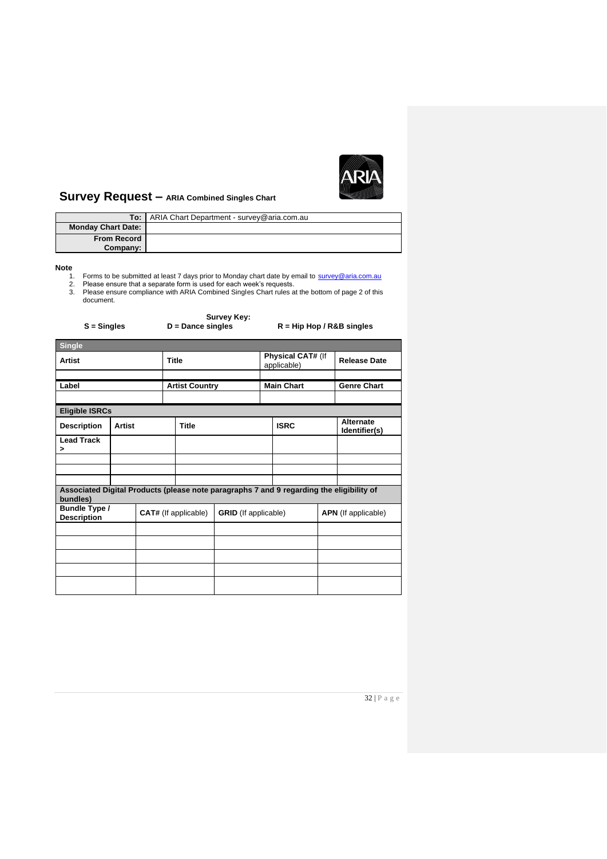

# **Survey Request – ARIA Combined Singles Chart**

|                           | <b>To:</b> ARIA Chart Department - survey@aria.com.au |
|---------------------------|-------------------------------------------------------|
| <b>Monday Chart Date:</b> |                                                       |
| <b>From Record</b>        |                                                       |
| Company:                  |                                                       |

- 
- 
- Note<br>1. Forms to be submitted at least 7 days prior to Monday chart date by email to [survey@aria.com.au](mailto:survey@aria.com.au)<br>2. Please ensure that a separate form is used for each week's requests.<br>3. Please ensure compliance with ARIA Combined

| $S =$ Singles                                                                                        |        | <b>Survey Key:</b><br>$D =$ Dance singles |                             |                       | $R = Hip Hop / R&B$ singles |             |                                  |                            |                    |
|------------------------------------------------------------------------------------------------------|--------|-------------------------------------------|-----------------------------|-----------------------|-----------------------------|-------------|----------------------------------|----------------------------|--------------------|
| <b>Single</b>                                                                                        |        |                                           |                             |                       |                             |             |                                  |                            |                    |
| <b>Artist</b>                                                                                        |        |                                           | <b>Title</b>                |                       |                             |             | Physical CAT# (If<br>applicable) | <b>Release Date</b>        |                    |
|                                                                                                      |        |                                           |                             |                       |                             |             |                                  |                            |                    |
| Label                                                                                                |        |                                           |                             | <b>Artist Country</b> |                             |             | <b>Main Chart</b>                |                            | <b>Genre Chart</b> |
|                                                                                                      |        |                                           |                             |                       |                             |             |                                  |                            |                    |
| <b>Eligible ISRCs</b>                                                                                |        |                                           |                             |                       |                             |             |                                  |                            |                    |
| <b>Description</b>                                                                                   | Artist |                                           | <b>Title</b>                |                       |                             | <b>ISRC</b> |                                  | Alternate<br>Identifier(s) |                    |
| <b>Lead Track</b><br>>                                                                               |        |                                           |                             |                       |                             |             |                                  |                            |                    |
|                                                                                                      |        |                                           |                             |                       |                             |             |                                  |                            |                    |
|                                                                                                      |        |                                           |                             |                       |                             |             |                                  |                            |                    |
| Associated Digital Products (please note paragraphs 7 and 9 regarding the eligibility of<br>bundles) |        |                                           |                             |                       |                             |             |                                  |                            |                    |
| Bundle Type /<br><b>Description</b>                                                                  |        |                                           | <b>CAT#</b> (If applicable) |                       | <b>GRID</b> (If applicable) |             | <b>APN</b> (If applicable)       |                            |                    |
|                                                                                                      |        |                                           |                             |                       |                             |             |                                  |                            |                    |
|                                                                                                      |        |                                           |                             |                       |                             |             |                                  |                            |                    |
|                                                                                                      |        |                                           |                             |                       |                             |             |                                  |                            |                    |
|                                                                                                      |        |                                           |                             |                       |                             |             |                                  |                            |                    |
|                                                                                                      |        |                                           |                             |                       |                             |             |                                  |                            |                    |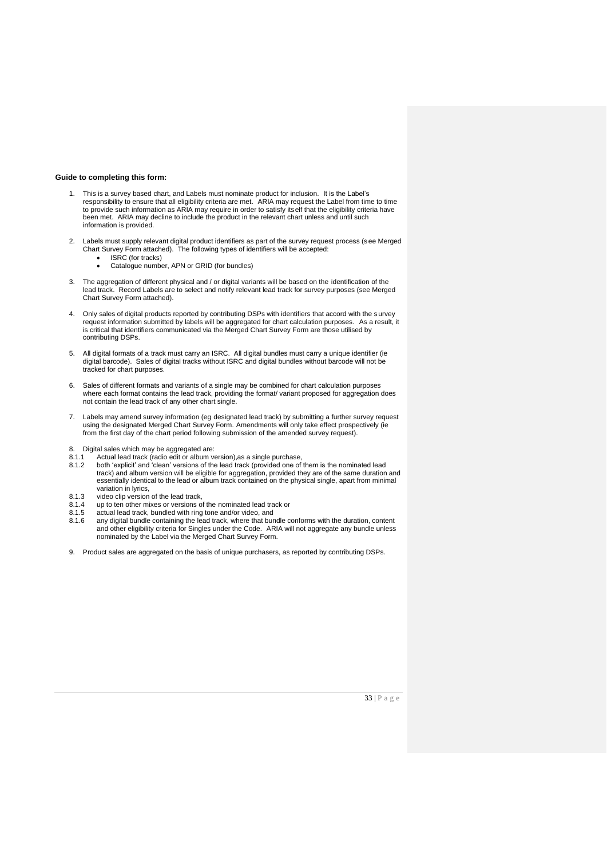#### **Guide to completing this form:**

- 1. This is a survey based chart, and Labels must nominate product for inclusion. It is the Label's responsibility to ensure that all eligibility criteria are met. ARIA may request the Label from time to time to provide such information as ARIA may require in order to satisfy itself that the eligibility criteria have been met. ARIA may decline to include the product in the relevant chart unless and until such information is provided.
- 2. Labels must supply relevant digital product identifiers as part of the survey request process (s ee Merged Chart Survey Form attached). The following types of identifiers will be accepted:
	- ISRC (for tracks)
	- Catalogue number, APN or GRID (for bundles)
- 3. The aggregation of different physical and / or digital variants will be based on the identification of the lead track. Record Labels are to select and notify relevant lead track for survey purposes (see Merged Chart Survey Form attached).
- 4. Only sales of digital products reported by contributing DSPs with identifiers that accord with the survey request information submitted by labels will be aggregated for chart calculation purposes. As a result, it is critical that identifiers communicated via the Merged Chart Survey Form are those utilised by contributing DSPs.
- 5. All digital formats of a track must carry an ISRC. All digital bundles must carry a unique identifier (ie digital barcode). Sales of digital tracks without ISRC and digital bundles without barcode will not be tracked for chart purposes.
- 6. Sales of different formats and variants of a single may be combined for chart calculation purposes where each format contains the lead track, providing the format/ variant proposed for aggregation does not contain the lead track of any other chart single.
- 7. Labels may amend survey information (eg designated lead track) by submitting a further survey request using the designated Merged Chart Survey Form. Amendments will only take effect prospectively (ie from the first day of the chart period following submission of the amended survey request).
- 
- 8. Digital sales which may be aggregated are:<br>8.1.1 Actual lead track (radio edit or album ve
- 8.1.1 Actual lead track (radio edit or album version),as a single purchase, 8.1.2 both 'explicit' and 'clean' versions of the lead track (provided one of them is the nominated lead track) and album version will be eligible for aggregation, provided they are of the same duration and essentially identical to the lead or album track contained on the physical single, apart from minimal variation in lyrics,
- 
- 8.1.3 video clip version of the lead track, 8.1.4 up to ten other mixes or versions of the nominated lead track or
- 8.1.5 actual lead track, bundled with ring tone and/or video, and 8.1.6 any digital bundle containing the lead track, where that bur
- any digital bundle containing the lead track, where that bundle conforms with the duration, content and other eligibility criteria for Singles under the Code. ARIA will not aggregate any bundle unless nominated by the Label via the Merged Chart Survey Form.
- 9. Product sales are aggregated on the basis of unique purchasers, as reported by contributing DSPs.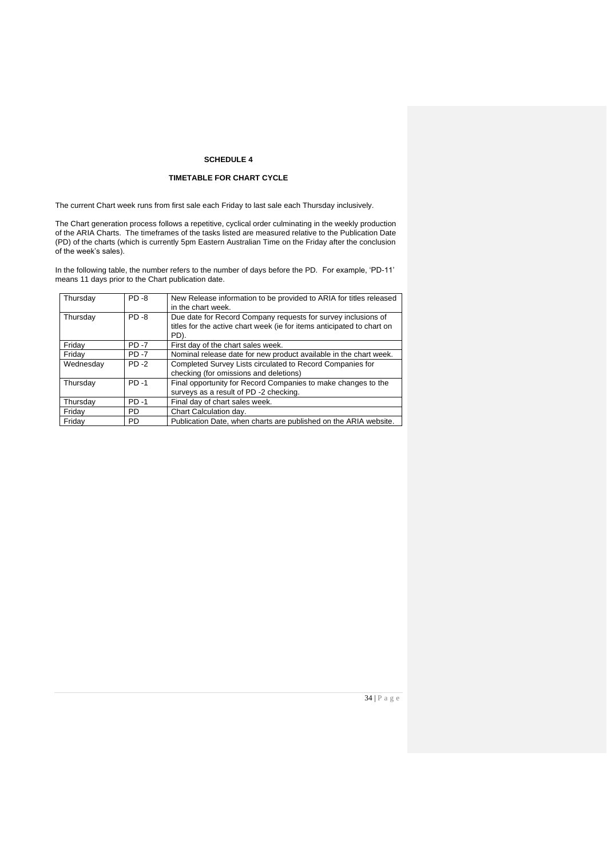# **SCHEDULE 4**

# **TIMETABLE FOR CHART CYCLE**

The current Chart week runs from first sale each Friday to last sale each Thursday inclusively.

The Chart generation process follows a repetitive, cyclical order culminating in the weekly production of the ARIA Charts. The timeframes of the tasks listed are measured relative to the Publication Date (PD) of the charts (which is currently 5pm Eastern Australian Time on the Friday after the conclusion of the week's sales).

In the following table, the number refers to the number of days before the PD. For example, 'PD-11' means 11 days prior to the Chart publication date.

| Thursday  | <b>PD-8</b> | New Release information to be provided to ARIA for titles released<br>in the chart week.                                                        |
|-----------|-------------|-------------------------------------------------------------------------------------------------------------------------------------------------|
| Thursday  | $PD - 8$    | Due date for Record Company requests for survey inclusions of<br>titles for the active chart week (ie for items anticipated to chart on<br>PD). |
| Friday    | <b>PD-7</b> | First day of the chart sales week.                                                                                                              |
| Friday    | <b>PD-7</b> | Nominal release date for new product available in the chart week.                                                                               |
| Wednesdav | $PD - 2$    | Completed Survey Lists circulated to Record Companies for                                                                                       |
|           |             | checking (for omissions and deletions)                                                                                                          |
| Thursday  | $PD - 1$    | Final opportunity for Record Companies to make changes to the                                                                                   |
|           |             | surveys as a result of PD -2 checking.                                                                                                          |
| Thursday  | $PD -1$     | Final day of chart sales week.                                                                                                                  |
| Friday    | <b>PD</b>   | Chart Calculation day.                                                                                                                          |
| Friday    | <b>PD</b>   | Publication Date, when charts are published on the ARIA website.                                                                                |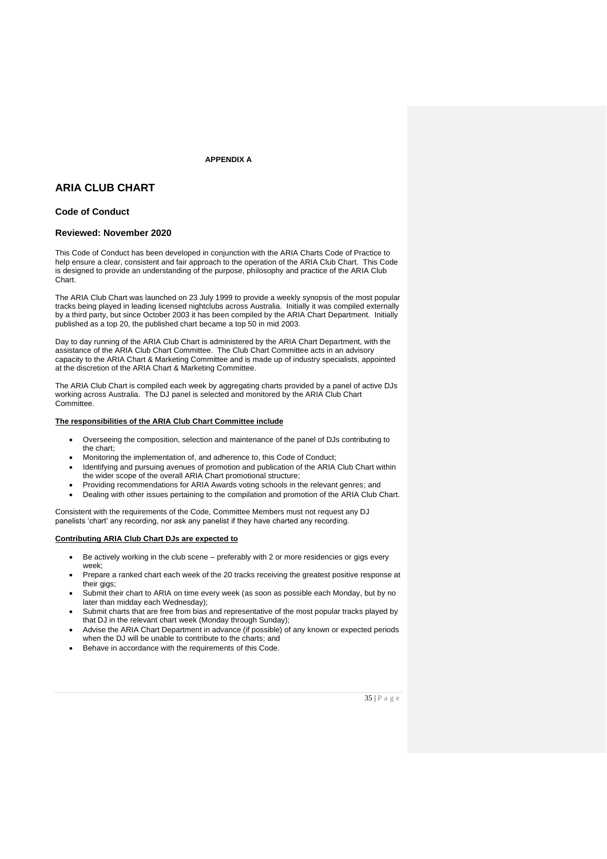**APPENDIX A**

# **ARIA CLUB CHART**

# **Code of Conduct**

# **Reviewed: November 2020**

This Code of Conduct has been developed in conjunction with the ARIA Charts Code of Practice to help ensure a clear, consistent and fair approach to the operation of the ARIA Club Chart. This Code is designed to provide an understanding of the purpose, philosophy and practice of the ARIA Club Chart.

The ARIA Club Chart was launched on 23 July 1999 to provide a weekly synopsis of the most popular tracks being played in leading licensed nightclubs across Australia. Initially it was compiled externally by a third party, but since October 2003 it has been compiled by the ARIA Chart Department. Initially published as a top 20, the published chart became a top 50 in mid 2003.

Day to day running of the ARIA Club Chart is administered by the ARIA Chart Department, with the assistance of the ARIA Club Chart Committee. The Club Chart Committee acts in an advisory capacity to the ARIA Chart & Marketing Committee and is made up of industry specialists, appointed at the discretion of the ARIA Chart & Marketing Committee.

The ARIA Club Chart is compiled each week by aggregating charts provided by a panel of active DJs working across Australia. The DJ panel is selected and monitored by the ARIA Club Chart Committee.

# **The responsibilities of the ARIA Club Chart Committee include**

- Overseeing the composition, selection and maintenance of the panel of DJs contributing to the chart;
- Monitoring the implementation of, and adherence to, this Code of Conduct;
- Identifying and pursuing avenues of promotion and publication of the ARIA Club Chart within the wider scope of the overall ARIA Chart promotional structure;
- Providing recommendations for ARIA Awards voting schools in the relevant genres; and
- Dealing with other issues pertaining to the compilation and promotion of the ARIA Club Chart.

Consistent with the requirements of the Code, Committee Members must not request any DJ panelists 'chart' any recording, nor ask any panelist if they have charted any recording.

#### **Contributing ARIA Club Chart DJs are expected to**

- Be actively working in the club scene preferably with 2 or more residencies or gigs every week;
- Prepare a ranked chart each week of the 20 tracks receiving the greatest positive response at their gigs;
- Submit their chart to ARIA on time every week (as soon as possible each Monday, but by no later than midday each Wednesday);
- Submit charts that are free from bias and representative of the most popular tracks played by that DJ in the relevant chart week (Monday through Sunday);
- Advise the ARIA Chart Department in advance (if possible) of any known or expected periods when the DJ will be unable to contribute to the charts; and
- Behave in accordance with the requirements of this Code.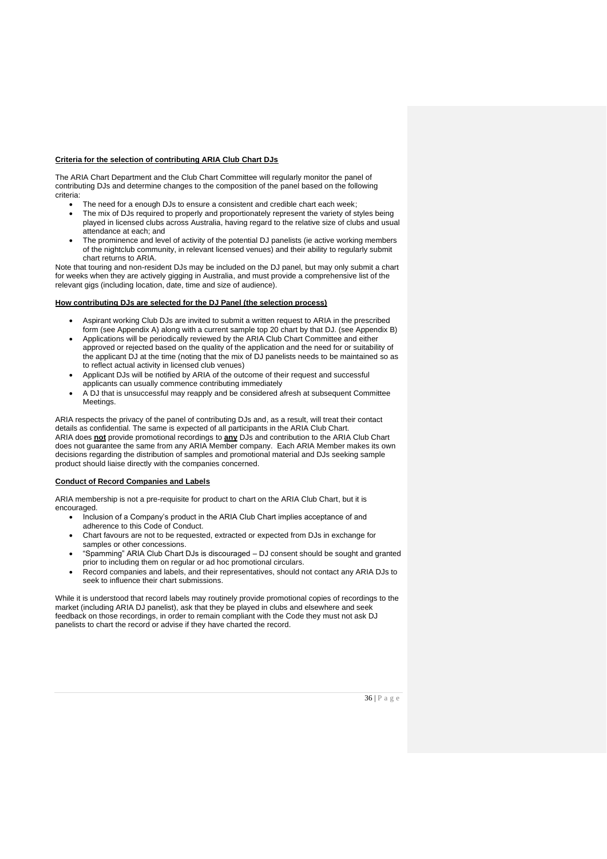#### **Criteria for the selection of contributing ARIA Club Chart DJs**

The ARIA Chart Department and the Club Chart Committee will regularly monitor the panel of contributing DJs and determine changes to the composition of the panel based on the following criteria:

- The need for a enough DJs to ensure a consistent and credible chart each week;
- The mix of DJs required to properly and proportionately represent the variety of styles being played in licensed clubs across Australia, having regard to the relative size of clubs and usual attendance at each; and
- The prominence and level of activity of the potential DJ panelists (ie active working members of the nightclub community, in relevant licensed venues) and their ability to regularly submit chart returns to ARIA.

Note that touring and non-resident DJs may be included on the DJ panel, but may only submit a chart for weeks when they are actively gigging in Australia, and must provide a comprehensive list of the relevant gigs (including location, date, time and size of audience).

#### **How contributing DJs are selected for the DJ Panel (the selection process)**

- Aspirant working Club DJs are invited to submit a written request to ARIA in the prescribed form (see Appendix A) along with a current sample top 20 chart by that DJ. (see Appendix B)
- Applications will be periodically reviewed by the ARIA Club Chart Committee and either approved or rejected based on the quality of the application and the need for or suitability of the applicant DJ at the time (noting that the mix of DJ panelists needs to be maintained so as to reflect actual activity in licensed club venues)
- Applicant DJs will be notified by ARIA of the outcome of their request and successful applicants can usually commence contributing immediately
- A DJ that is unsuccessful may reapply and be considered afresh at subsequent Committee Meetings.

ARIA respects the privacy of the panel of contributing DJs and, as a result, will treat their contact details as confidential. The same is expected of all participants in the ARIA Club Chart. ARIA does **not** provide promotional recordings to **any** DJs and contribution to the ARIA Club Chart does not guarantee the same from any ARIA Member company. Each ARIA Member makes its own decisions regarding the distribution of samples and promotional material and DJs seeking sample product should liaise directly with the companies concerned.

#### **Conduct of Record Companies and Labels**

ARIA membership is not a pre-requisite for product to chart on the ARIA Club Chart, but it is encouraged.

- Inclusion of a Company's product in the ARIA Club Chart implies acceptance of and adherence to this Code of Conduct.
- Chart favours are not to be requested, extracted or expected from DJs in exchange for samples or other concessions.
- "Spamming" ARIA Club Chart DJs is discouraged DJ consent should be sought and granted prior to including them on regular or ad hoc promotional circulars.
- Record companies and labels, and their representatives, should not contact any ARIA DJs to seek to influence their chart submissions.

While it is understood that record labels may routinely provide promotional copies of recordings to the market (including ARIA DJ panelist), ask that they be played in clubs and elsewhere and seek feedback on those recordings, in order to remain compliant with the Code they must not ask DJ panelists to chart the record or advise if they have charted the record.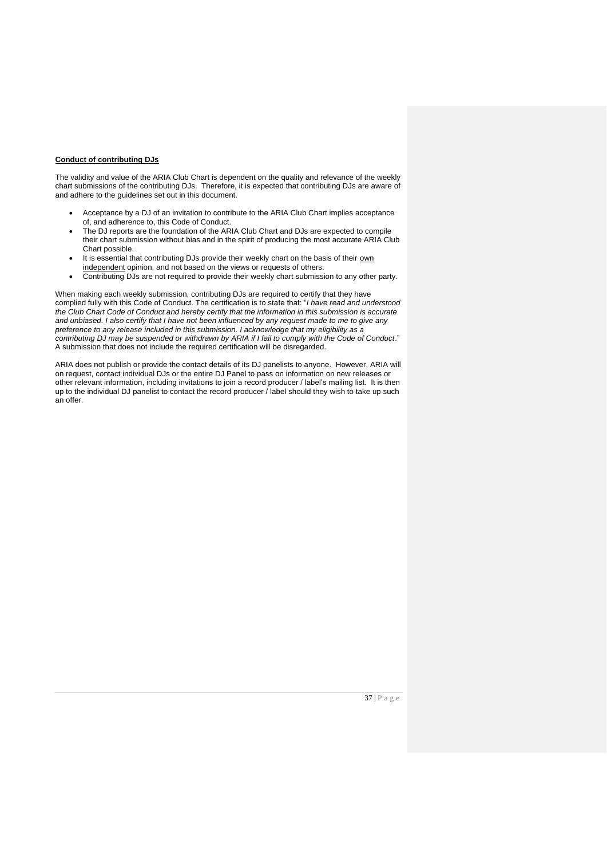#### **Conduct of contributing DJs**

The validity and value of the ARIA Club Chart is dependent on the quality and relevance of the weekly chart submissions of the contributing DJs. Therefore, it is expected that contributing DJs are aware of and adhere to the guidelines set out in this document.

- Acceptance by a DJ of an invitation to contribute to the ARIA Club Chart implies acceptance of, and adherence to, this Code of Conduct.
- The DJ reports are the foundation of the ARIA Club Chart and DJs are expected to compile their chart submission without bias and in the spirit of producing the most accurate ARIA Club Chart possible.
- It is essential that contributing DJs provide their weekly chart on the basis of their own independent opinion, and not based on the views or requests of others.
- Contributing DJs are not required to provide their weekly chart submission to any other party.

When making each weekly submission, contributing DJs are required to certify that they have complied fully with this Code of Conduct. The certification is to state that: "*I have read and understood the Club Chart Code of Conduct and hereby certify that the information in this submission is accurate and unbiased. I also certify that I have not been influenced by any request made to me to give any preference to any release included in this submission. I acknowledge that my eligibility as a contributing DJ may be suspended or withdrawn by ARIA if I fail to comply with the Code of Conduct*." A submission that does not include the required certification will be disregarded.

ARIA does not publish or provide the contact details of its DJ panelists to anyone. However, ARIA will on request, contact individual DJs or the entire DJ Panel to pass on information on new releases or other relevant information, including invitations to join a record producer / label's mailing list. It is then up to the individual DJ panelist to contact the record producer / label should they wish to take up such an offer.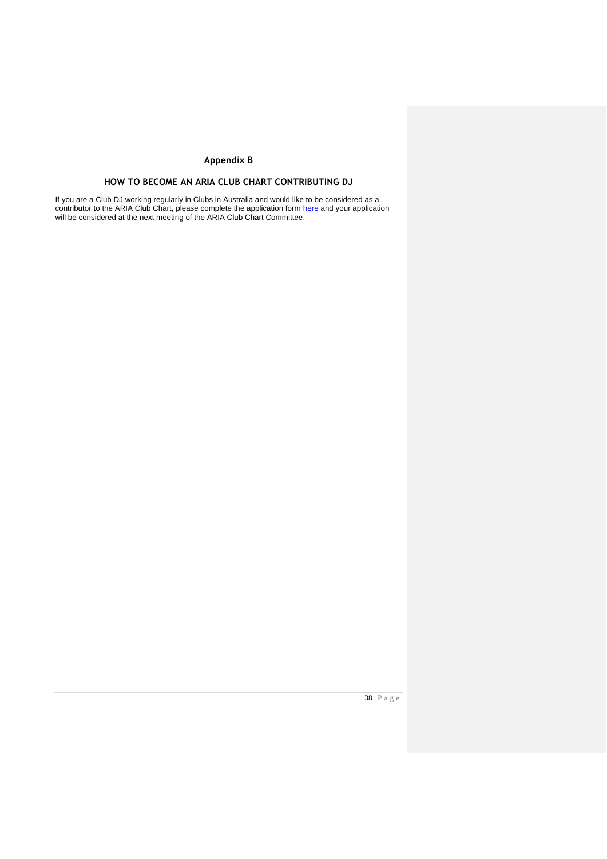# **Appendix B**

# **HOW TO BECOME AN ARIA CLUB CHART CONTRIBUTING DJ**

If you are a Club DJ working regularly in Clubs in Australia and would like to be considered as a contributor to the ARIA Club Chart, please complete the application form <u>here</u> and your application will be considered at the next meeting of the ARIA Club Chart Committee.

38 | P a g e